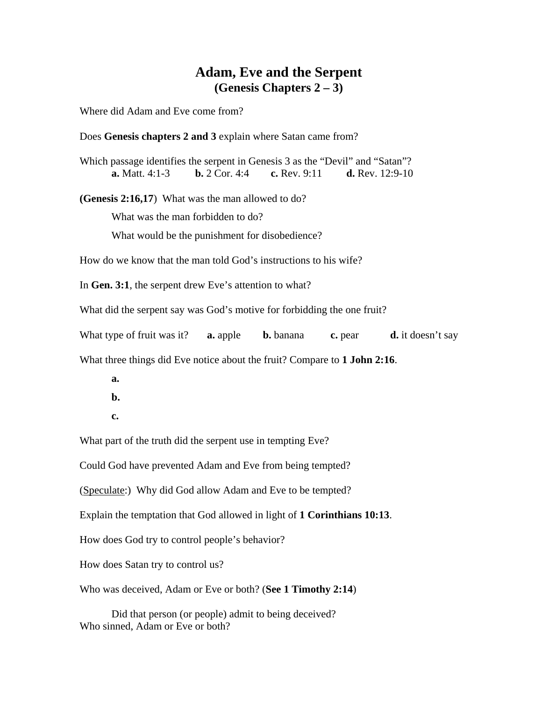### **Adam, Eve and the Serpent (Genesis Chapters 2 – 3)**

Where did Adam and Eve come from?

Does **Genesis chapters 2 and 3** explain where Satan came from?

Which passage identifies the serpent in Genesis 3 as the "Devil" and "Satan"? **a.** Matt. 4:1-3 **b.** 2 Cor. 4:4 **c.** Rev. 9:11 **d.** Rev. 12:9-10

**(Genesis 2:16,17**) What was the man allowed to do?

What was the man forbidden to do?

What would be the punishment for disobedience?

How do we know that the man told God's instructions to his wife?

In **Gen. 3:1**, the serpent drew Eve's attention to what?

What did the serpent say was God's motive for forbidding the one fruit?

What type of fruit was it? **a.** apple **b.** banana **c.** pear **d.** it doesn't say

What three things did Eve notice about the fruit? Compare to **1 John 2:16**.

- **a.**
- **b.**
- **c.**

What part of the truth did the serpent use in tempting Eve?

Could God have prevented Adam and Eve from being tempted?

(Speculate:) Why did God allow Adam and Eve to be tempted?

Explain the temptation that God allowed in light of **1 Corinthians 10:13**.

How does God try to control people's behavior?

How does Satan try to control us?

Who was deceived, Adam or Eve or both? (**See 1 Timothy 2:14**)

 Did that person (or people) admit to being deceived? Who sinned, Adam or Eve or both?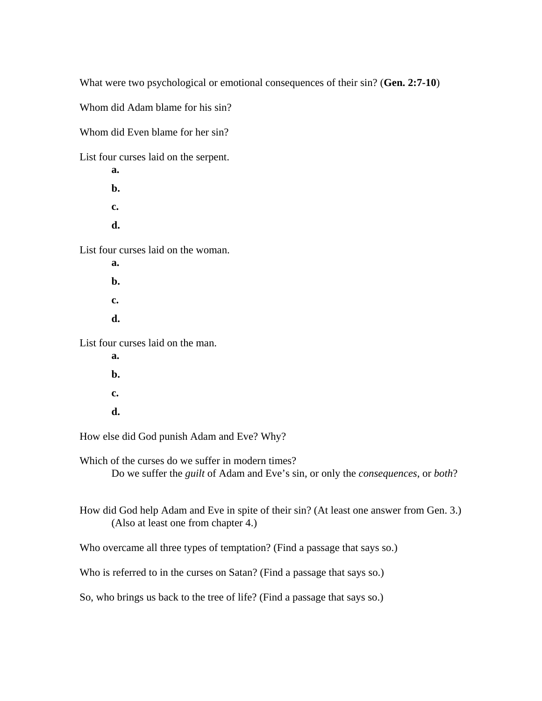What were two psychological or emotional consequences of their sin? (**Gen. 2:7-10**)

Whom did Adam blame for his sin?

Whom did Even blame for her sin?

List four curses laid on the serpent.

 **a. b. c. d.** 

List four curses laid on the woman.

 **a. b. c. d.**  List four curses laid on the man.

 **a. b. c. d.** 

How else did God punish Adam and Eve? Why?

Which of the curses do we suffer in modern times?

Do we suffer the *guilt* of Adam and Eve's sin, or only the *consequences*, or *both*?

How did God help Adam and Eve in spite of their sin? (At least one answer from Gen. 3.) (Also at least one from chapter 4.)

Who overcame all three types of temptation? (Find a passage that says so.)

Who is referred to in the curses on Satan? (Find a passage that says so.)

So, who brings us back to the tree of life? (Find a passage that says so.)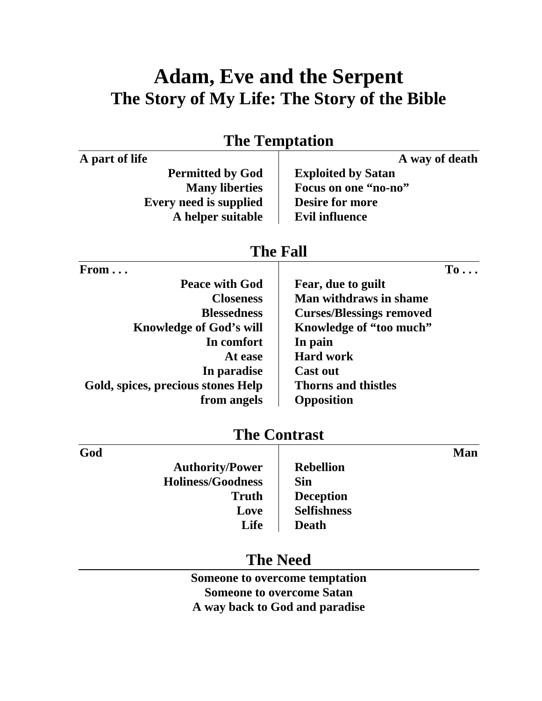# **Adam, Eve and the Serpent The Story of My Life: The Story of the Bible**

|                                    | $\blacksquare$                  |
|------------------------------------|---------------------------------|
| A part of life                     | A way of death                  |
| <b>Permitted by God</b>            | <b>Exploited by Satan</b>       |
| <b>Many liberties</b>              | Focus on one "no-no"            |
| <b>Every need is supplied</b>      | <b>Desire for more</b>          |
| A helper suitable                  | <b>Evil influence</b>           |
|                                    | <b>The Fall</b>                 |
| From                               | $To \ldots$                     |
| <b>Peace with God</b>              | Fear, due to guilt              |
| <b>Closeness</b>                   | <b>Man withdraws in shame</b>   |
| <b>Blessedness</b>                 | <b>Curses/Blessings removed</b> |
| <b>Knowledge of God's will</b>     | Knowledge of "too much"         |
| In comfort                         | In pain                         |
| At ease                            | <b>Hard work</b>                |
| In paradise                        | <b>Cast out</b>                 |
| Gold, spices, precious stones Help | <b>Thorns and thistles</b>      |
| from angels                        | Opposition                      |
|                                    | <b>The Contrast</b>             |
| God                                | <b>Man</b>                      |
| <b>Authority/Power</b>             | <b>Rebellion</b>                |
| <b>Holiness/Goodness</b>           | <b>Sin</b>                      |
| <b>Truth</b>                       | <b>Deception</b>                |
| Love                               | <b>Selfishness</b>              |
| Life                               | <b>Death</b>                    |

# **The Temptation**

# **The Need**

**Someone to overcome temptation Someone to overcome Satan A way back to God and paradise**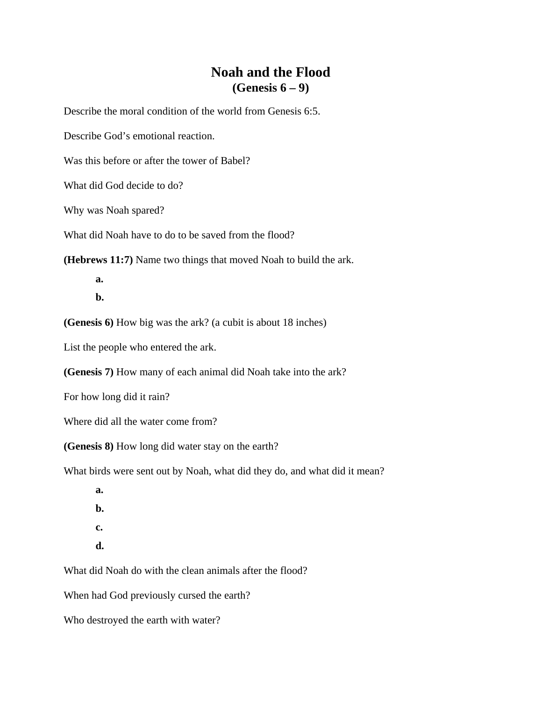# **Noah and the Flood (Genesis 6 – 9)**

Describe the moral condition of the world from Genesis 6:5.

Describe God's emotional reaction.

Was this before or after the tower of Babel?

What did God decide to do?

Why was Noah spared?

What did Noah have to do to be saved from the flood?

**(Hebrews 11:7)** Name two things that moved Noah to build the ark.

 **a.** 

 **b.** 

**(Genesis 6)** How big was the ark? (a cubit is about 18 inches)

List the people who entered the ark.

**(Genesis 7)** How many of each animal did Noah take into the ark?

For how long did it rain?

Where did all the water come from?

**(Genesis 8)** How long did water stay on the earth?

What birds were sent out by Noah, what did they do, and what did it mean?

 **a. b. c.** 

 **d.** 

What did Noah do with the clean animals after the flood?

When had God previously cursed the earth?

Who destroyed the earth with water?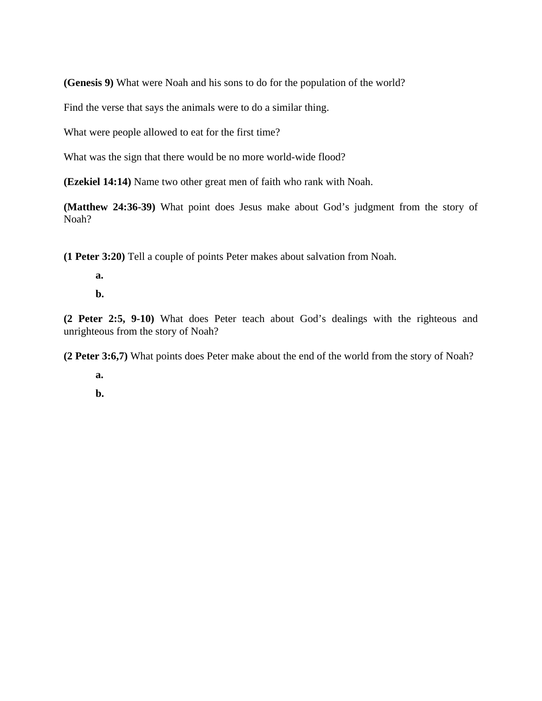**(Genesis 9)** What were Noah and his sons to do for the population of the world?

Find the verse that says the animals were to do a similar thing.

What were people allowed to eat for the first time?

What was the sign that there would be no more world-wide flood?

**(Ezekiel 14:14)** Name two other great men of faith who rank with Noah.

**(Matthew 24:36-39)** What point does Jesus make about God's judgment from the story of Noah?

**(1 Peter 3:20)** Tell a couple of points Peter makes about salvation from Noah.

- **a.**
- **b.**

**(2 Peter 2:5, 9-10)** What does Peter teach about God's dealings with the righteous and unrighteous from the story of Noah?

**(2 Peter 3:6,7)** What points does Peter make about the end of the world from the story of Noah?

 **a.** 

 **b.**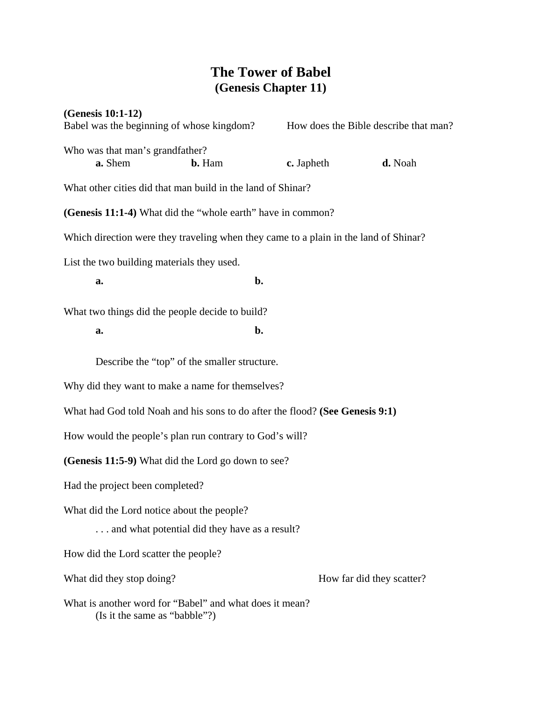### **The Tower of Babel (Genesis Chapter 11)**

**(Genesis 10:1-12)**  Babel was the beginning of whose kingdom? How does the Bible describe that man? Who was that man's grandfather? **a.** Shem **b.** Ham **c.** Japheth **d.** Noah What other cities did that man build in the land of Shinar? **(Genesis 11:1-4)** What did the "whole earth" have in common? Which direction were they traveling when they came to a plain in the land of Shinar? List the two building materials they used. **a. b. b.** What two things did the people decide to build? **a. b. b.**  Describe the "top" of the smaller structure. Why did they want to make a name for themselves? What had God told Noah and his sons to do after the flood? **(See Genesis 9:1)**  How would the people's plan run contrary to God's will? **(Genesis 11:5-9)** What did the Lord go down to see? Had the project been completed? What did the Lord notice about the people? . . . and what potential did they have as a result? How did the Lord scatter the people? What did they stop doing? How far did they scatter? What is another word for "Babel" and what does it mean? (Is it the same as "babble"?)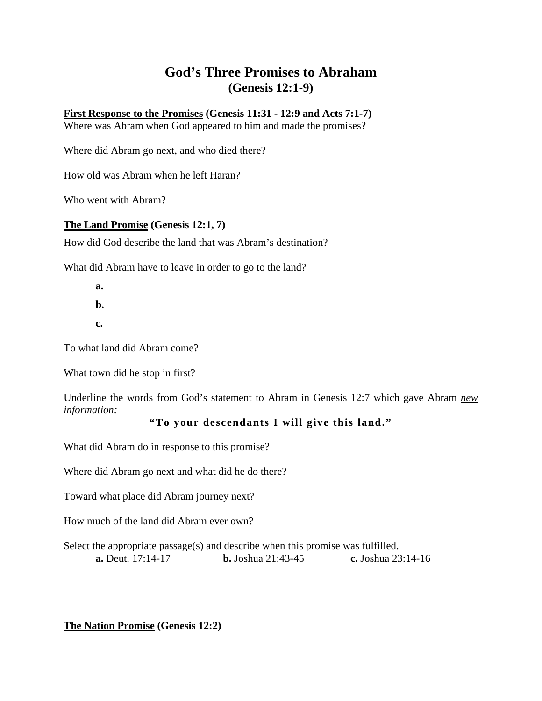# **God's Three Promises to Abraham (Genesis 12:1-9)**

**First Response to the Promises (Genesis 11:31 - 12:9 and Acts 7:1-7)** 

Where was Abram when God appeared to him and made the promises?

Where did Abram go next, and who died there?

How old was Abram when he left Haran?

Who went with Abram?

#### **The Land Promise (Genesis 12:1, 7)**

How did God describe the land that was Abram's destination?

What did Abram have to leave in order to go to the land?

 **a.** 

 **b.** 

 **c.** 

To what land did Abram come?

What town did he stop in first?

Underline the words from God's statement to Abram in Genesis 12:7 which gave Abram *new information:*

#### **"To your descendants I will give this land."**

What did Abram do in response to this promise?

Where did Abram go next and what did he do there?

Toward what place did Abram journey next?

How much of the land did Abram ever own?

Select the appropriate passage(s) and describe when this promise was fulfilled. **a.** Deut. 17:14-17 **b.** Joshua 21:43-45 **c.** Joshua 23:14-16

**The Nation Promise (Genesis 12:2)**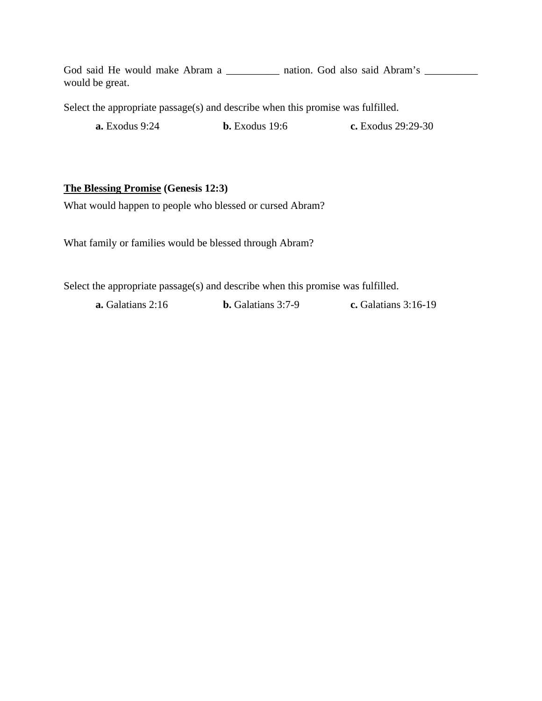God said He would make Abram a \_\_\_\_\_\_\_\_\_\_\_ nation. God also said Abram's \_\_\_\_\_\_\_\_ would be great.

Select the appropriate passage(s) and describe when this promise was fulfilled.

**a.** Exodus 9:24 **b.** Exodus 19:6 **c.** Exodus 29:29-30

#### **The Blessing Promise (Genesis 12:3)**

What would happen to people who blessed or cursed Abram?

What family or families would be blessed through Abram?

Select the appropriate passage(s) and describe when this promise was fulfilled.

**a.** Galatians 2:16 **b.** Galatians 3:7-9 **c.** Galatians 3:16-19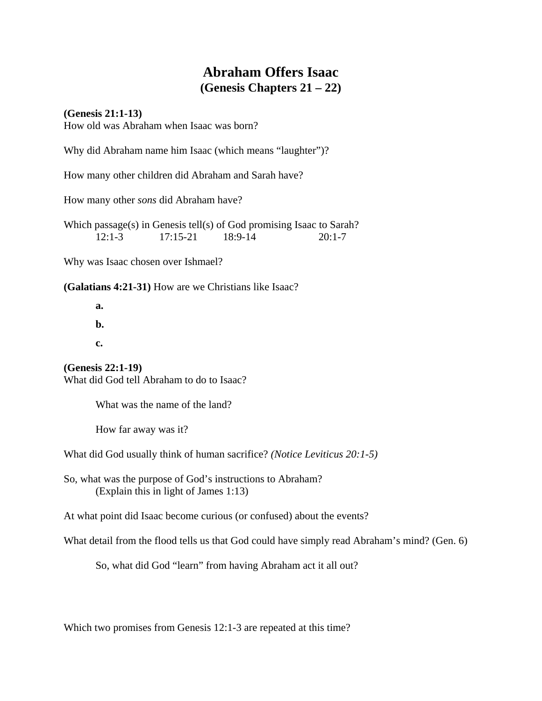# **Abraham Offers Isaac (Genesis Chapters 21 – 22)**

**(Genesis 21:1-13)** 

How old was Abraham when Isaac was born?

Why did Abraham name him Isaac (which means "laughter")?

How many other children did Abraham and Sarah have?

How many other *sons* did Abraham have?

Which passage(s) in Genesis tell(s) of God promising Isaac to Sarah? 12:1-3 17:15-21 18:9-14 20:1-7

Why was Isaac chosen over Ishmael?

**(Galatians 4:21-31)** How are we Christians like Isaac?

 **a. b. c.** 

**(Genesis 22:1-19)**  What did God tell Abraham to do to Isaac?

What was the name of the land?

How far away was it?

What did God usually think of human sacrifice? *(Notice Leviticus 20:1-5)* 

So, what was the purpose of God's instructions to Abraham? (Explain this in light of James 1:13)

At what point did Isaac become curious (or confused) about the events?

What detail from the flood tells us that God could have simply read Abraham's mind? (Gen. 6)

So, what did God "learn" from having Abraham act it all out?

Which two promises from Genesis 12:1-3 are repeated at this time?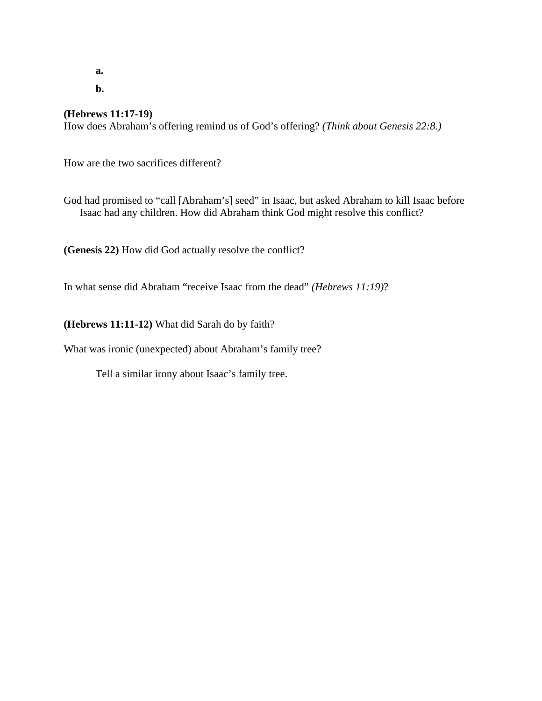**a.** 

 **b.** 

#### **(Hebrews 11:17-19)**

How does Abraham's offering remind us of God's offering? *(Think about Genesis 22:8.)*

How are the two sacrifices different?

God had promised to "call [Abraham's] seed" in Isaac, but asked Abraham to kill Isaac before Isaac had any children. How did Abraham think God might resolve this conflict?

**(Genesis 22)** How did God actually resolve the conflict?

In what sense did Abraham "receive Isaac from the dead" *(Hebrews 11:19)*?

**(Hebrews 11:11-12)** What did Sarah do by faith?

What was ironic (unexpected) about Abraham's family tree?

Tell a similar irony about Isaac's family tree.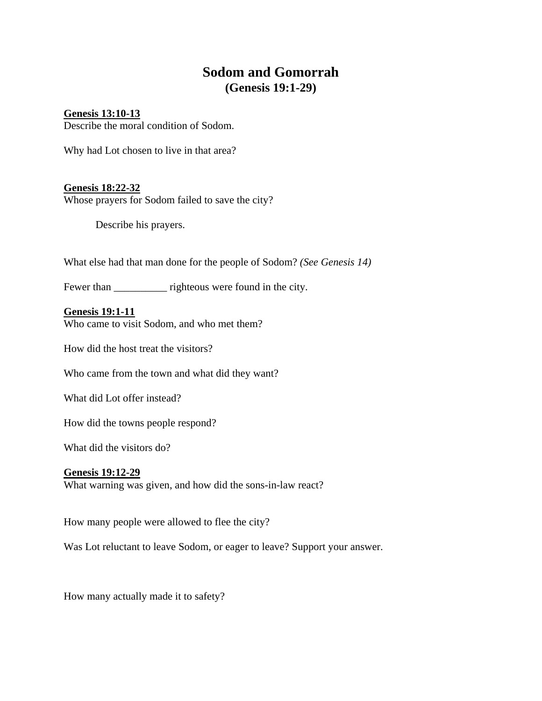# **Sodom and Gomorrah (Genesis 19:1-29)**

### **Genesis 13:10-13**

Describe the moral condition of Sodom.

Why had Lot chosen to live in that area?

#### **Genesis 18:22-32**

Whose prayers for Sodom failed to save the city?

Describe his prayers.

What else had that man done for the people of Sodom? *(See Genesis 14)*

Fewer than \_\_\_\_\_\_\_\_\_\_\_\_\_ righteous were found in the city.

**Genesis 19:1-11** Who came to visit Sodom, and who met them?

How did the host treat the visitors?

Who came from the town and what did they want?

What did Lot offer instead?

How did the towns people respond?

What did the visitors do?

#### **Genesis 19:12-29**

What warning was given, and how did the sons-in-law react?

How many people were allowed to flee the city?

Was Lot reluctant to leave Sodom, or eager to leave? Support your answer.

How many actually made it to safety?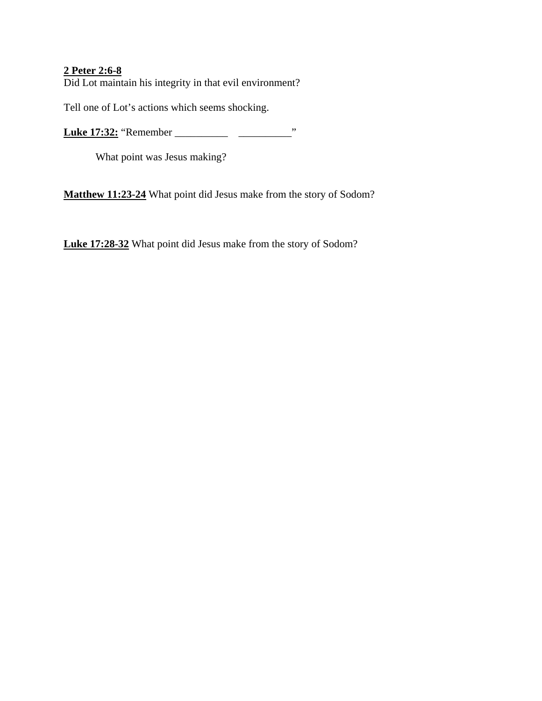### **2 Peter 2:6-8** Did Lot maintain his integrity in that evil environment?

Tell one of Lot's actions which seems shocking.

**Luke 17:32:** "Remember \_\_\_\_\_\_\_\_\_\_ \_\_\_\_\_\_\_\_\_\_"

What point was Jesus making?

**Matthew 11:23-24** What point did Jesus make from the story of Sodom?

**Luke 17:28-32** What point did Jesus make from the story of Sodom?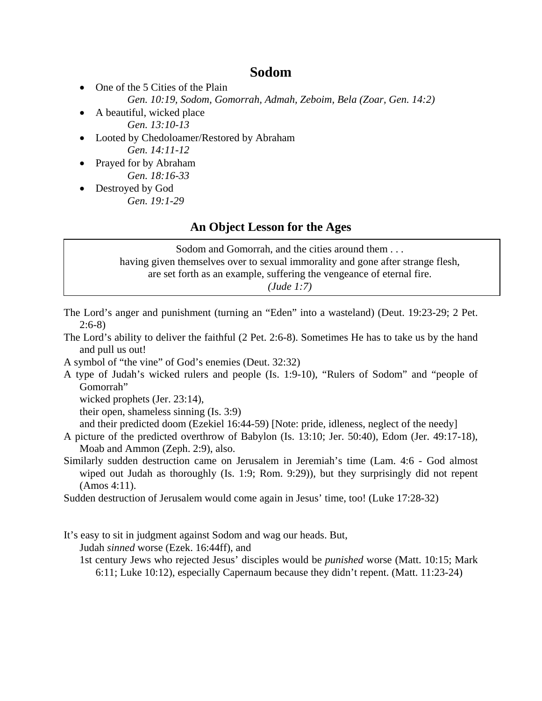### **Sodom**

- One of the 5 Cities of the Plain
	- *Gen. 10:19, Sodom, Gomorrah, Admah, Zeboim, Bela (Zoar, Gen. 14:2)*
- A beautiful, wicked place  *Gen. 13:10-13*
- Looted by Chedoloamer/Restored by Abraham  *Gen. 14:11-12*
- Prayed for by Abraham  *Gen. 18:16-33*
- Destroyed by God  *Gen. 19:1-29*

### **An Object Lesson for the Ages**

Sodom and Gomorrah, and the cities around them . . . having given themselves over to sexual immorality and gone after strange flesh, are set forth as an example, suffering the vengeance of eternal fire. *(Jude 1:7)*

- The Lord's anger and punishment (turning an "Eden" into a wasteland) (Deut. 19:23-29; 2 Pet. 2:6-8)
- The Lord's ability to deliver the faithful (2 Pet. 2:6-8). Sometimes He has to take us by the hand and pull us out!
- A symbol of "the vine" of God's enemies (Deut. 32:32)
- A type of Judah's wicked rulers and people (Is. 1:9-10), "Rulers of Sodom" and "people of Gomorrah"

wicked prophets (Jer. 23:14),

their open, shameless sinning (Is. 3:9)

and their predicted doom (Ezekiel 16:44-59) [Note: pride, idleness, neglect of the needy]

- A picture of the predicted overthrow of Babylon (Is. 13:10; Jer. 50:40), Edom (Jer. 49:17-18), Moab and Ammon (Zeph. 2:9), also.
- Similarly sudden destruction came on Jerusalem in Jeremiah's time (Lam. 4:6 God almost wiped out Judah as thoroughly (Is. 1:9; Rom. 9:29)), but they surprisingly did not repent (Amos 4:11).

Sudden destruction of Jerusalem would come again in Jesus' time, too! (Luke 17:28-32)

It's easy to sit in judgment against Sodom and wag our heads. But,

Judah *sinned* worse (Ezek. 16:44ff), and

1st century Jews who rejected Jesus' disciples would be *punished* worse (Matt. 10:15; Mark 6:11; Luke 10:12), especially Capernaum because they didn't repent. (Matt. 11:23-24)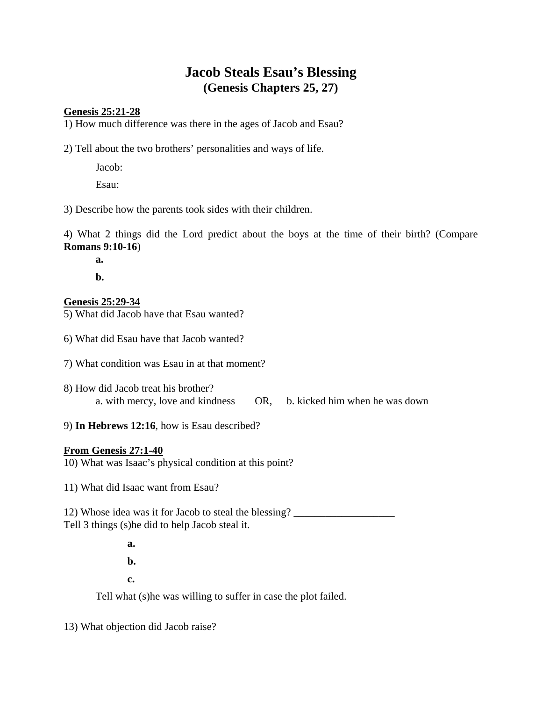# **Jacob Steals Esau's Blessing (Genesis Chapters 25, 27)**

#### **Genesis 25:21-28**

1) How much difference was there in the ages of Jacob and Esau?

2) Tell about the two brothers' personalities and ways of life.

Jacob:

Esau:

3) Describe how the parents took sides with their children.

4) What 2 things did the Lord predict about the boys at the time of their birth? (Compare **Romans 9:10-16**)

 **a.** 

 **b.** 

#### **Genesis 25:29-34**

5) What did Jacob have that Esau wanted?

6) What did Esau have that Jacob wanted?

7) What condition was Esau in at that moment?

- 8) How did Jacob treat his brother? a. with mercy, love and kindness OR, b. kicked him when he was down
- 9) **In Hebrews 12:16**, how is Esau described?

#### **From Genesis 27:1-40**

10) What was Isaac's physical condition at this point?

11) What did Isaac want from Esau?

12) Whose idea was it for Jacob to steal the blessing? \_\_\_\_\_\_\_\_\_\_\_\_\_\_\_\_\_\_\_ Tell 3 things (s)he did to help Jacob steal it.

**a. a. b. c.** 

Tell what (s)he was willing to suffer in case the plot failed.

13) What objection did Jacob raise?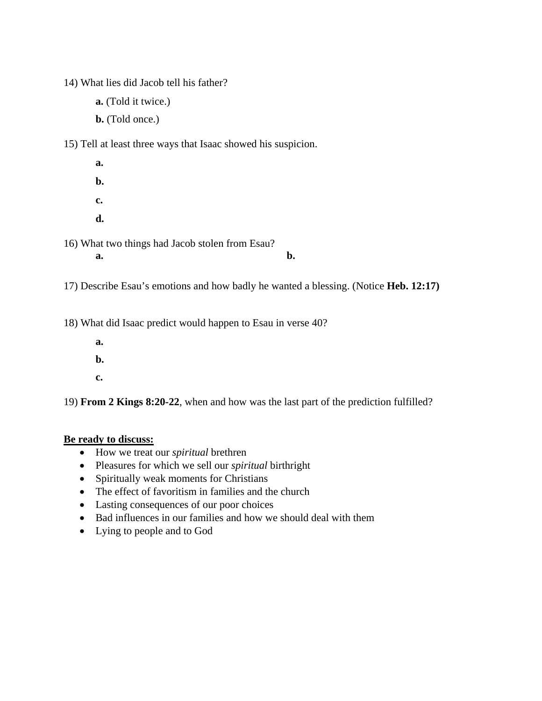14) What lies did Jacob tell his father?

**a.** (Told it twice.)

**b.** (Told once.)

15) Tell at least three ways that Isaac showed his suspicion.

 **a. b. c. d.**  16) What two things had Jacob stolen from Esau? **a. b. b.** 

17) Describe Esau's emotions and how badly he wanted a blessing. (Notice **Heb. 12:17)** 

18) What did Isaac predict would happen to Esau in verse 40?

- **a.**
- **b.**
- **c.**

19) **From 2 Kings 8:20-22**, when and how was the last part of the prediction fulfilled?

#### **Be ready to discuss:**

- How we treat our *spiritual* brethren
- Pleasures for which we sell our *spiritual* birthright
- Spiritually weak moments for Christians
- The effect of favoritism in families and the church
- Lasting consequences of our poor choices
- Bad influences in our families and how we should deal with them
- Lying to people and to God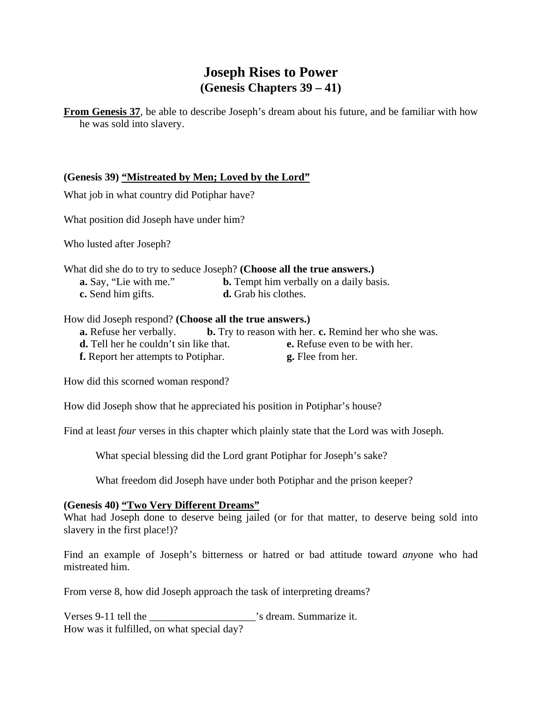# **Joseph Rises to Power (Genesis Chapters 39 – 41)**

**From Genesis 37**, be able to describe Joseph's dream about his future, and be familiar with how he was sold into slavery.

#### **(Genesis 39) "Mistreated by Men; Loved by the Lord"**

What job in what country did Potiphar have?

What position did Joseph have under him?

Who lusted after Joseph?

What did she do to try to seduce Joseph? **(Choose all the true answers.) a.** Say, "Lie with me." **b.** Tempt him verbally on a daily basis.

**c.** Send him gifts. **d.** Grab his clothes.

#### How did Joseph respond? **(Choose all the true answers.)**

- **a.** Refuse her verbally. **b.** Try to reason with her. **c.** Remind her who she was. **d.** Tell her he couldn't sin like that. **e.** Refuse even to be with her.
- **f.** Report her attempts to Potiphar. **g.** Flee from her.

How did this scorned woman respond?

How did Joseph show that he appreciated his position in Potiphar's house?

Find at least *four* verses in this chapter which plainly state that the Lord was with Joseph.

What special blessing did the Lord grant Potiphar for Joseph's sake?

What freedom did Joseph have under both Potiphar and the prison keeper?

#### **(Genesis 40) "Two Very Different Dreams"**

What had Joseph done to deserve being jailed (or for that matter, to deserve being sold into slavery in the first place!)?

Find an example of Joseph's bitterness or hatred or bad attitude toward *any*one who had mistreated him.

From verse 8, how did Joseph approach the task of interpreting dreams?

Verses 9-11 tell the \_\_\_\_\_\_\_\_\_\_\_\_\_\_\_\_\_\_\_\_'s dream. Summarize it. How was it fulfilled, on what special day?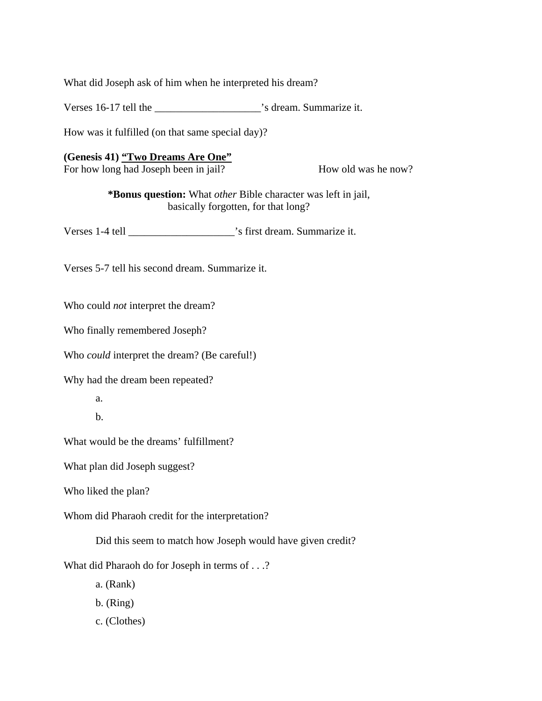What did Joseph ask of him when he interpreted his dream?

Verses 16-17 tell the \_\_\_\_\_\_\_\_\_\_\_\_\_\_\_\_\_\_\_\_'s dream. Summarize it.

How was it fulfilled (on that same special day)?

#### **(Genesis 41) "Two Dreams Are One"**

For how long had Joseph been in jail? How old was he now?

**\*Bonus question:** What *other* Bible character was left in jail, basically forgotten, for that long?

Verses 1-4 tell \_\_\_\_\_\_\_\_\_\_\_\_\_\_\_\_\_\_\_\_'s first dream. Summarize it.

Verses 5-7 tell his second dream. Summarize it.

Who could *not* interpret the dream?

Who finally remembered Joseph?

Who *could* interpret the dream? (Be careful!)

Why had the dream been repeated?

a.

b.

What would be the dreams' fulfillment?

What plan did Joseph suggest?

Who liked the plan?

Whom did Pharaoh credit for the interpretation?

Did this seem to match how Joseph would have given credit?

What did Pharaoh do for Joseph in terms of . . .?

a. (Rank)

- b. (Ring)
- c. (Clothes)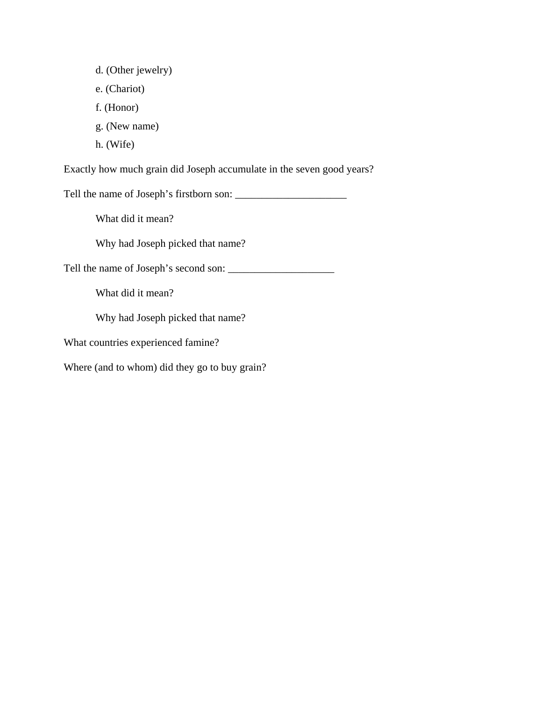- d. (Other jewelry)
- e. (Chariot)
- f. (Honor)
- g. (New name)
- h. (Wife)

Exactly how much grain did Joseph accumulate in the seven good years?

Tell the name of Joseph's firstborn son: \_\_\_\_\_\_\_\_\_\_\_\_\_\_\_\_\_\_\_\_\_

What did it mean?

Why had Joseph picked that name?

Tell the name of Joseph's second son: \_\_\_\_\_\_\_\_\_\_\_\_\_\_\_\_\_\_\_\_

What did it mean?

Why had Joseph picked that name?

What countries experienced famine?

Where (and to whom) did they go to buy grain?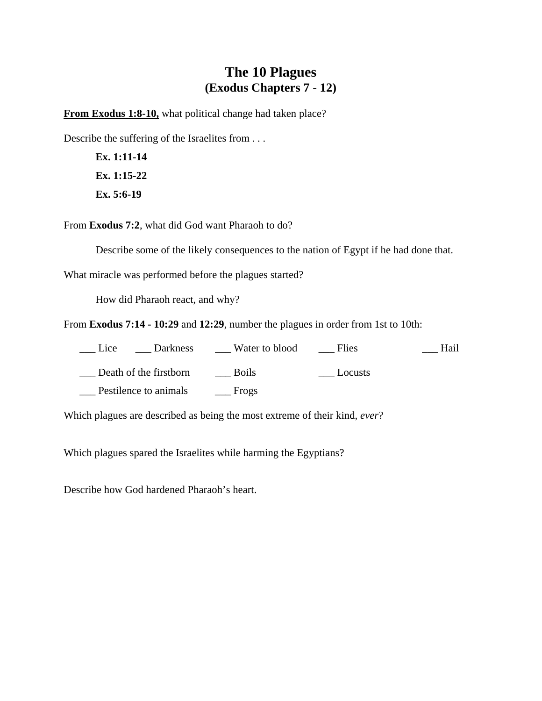### **The 10 Plagues (Exodus Chapters 7 - 12)**

**From Exodus 1:8-10,** what political change had taken place?

Describe the suffering of the Israelites from . . .

 **Ex. 1:11-14 Ex. 1:15-22 Ex. 5:6-19** 

From **Exodus 7:2**, what did God want Pharaoh to do?

Describe some of the likely consequences to the nation of Egypt if he had done that.

What miracle was performed before the plagues started?

How did Pharaoh react, and why?

From **Exodus 7:14 - 10:29** and **12:29**, number the plagues in order from 1st to 10th:

| Darkness<br>Lice       | Water to blood | Flies   | Hail |
|------------------------|----------------|---------|------|
| Death of the firstborn | <b>Boils</b>   | Locusts |      |
| Pestilence to animals  | Frogs          |         |      |

Which plagues are described as being the most extreme of their kind, *ever*?

Which plagues spared the Israelites while harming the Egyptians?

Describe how God hardened Pharaoh's heart.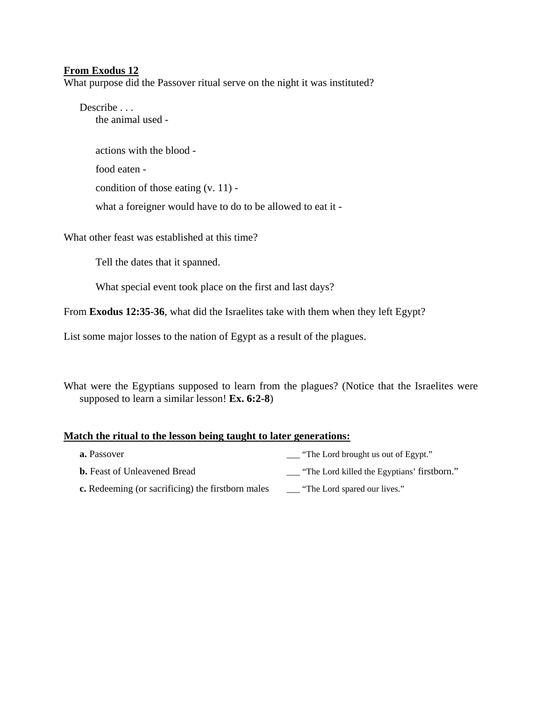#### **From Exodus 12**

What purpose did the Passover ritual serve on the night it was instituted?

Describe . . . the animal used -

> actions with the blood food eaten -

condition of those eating (v. 11) -

what a foreigner would have to do to be allowed to eat it -

What other feast was established at this time?

Tell the dates that it spanned.

What special event took place on the first and last days?

From **Exodus 12:35-36**, what did the Israelites take with them when they left Egypt?

List some major losses to the nation of Egypt as a result of the plagues.

What were the Egyptians supposed to learn from the plagues? (Notice that the Israelites were supposed to learn a similar lesson! **Ex. 6:2-8**)

#### **Match the ritual to the lesson being taught to later generations:**

- **a.** Passover **a.** Passover **a.** Passover **a.** Passover **a.** Passover **a.** Passover **a.**  $\frac{1}{2}$  **Passover a.**  $\frac{1}{2}$  **Passover a.**  $\frac{1}{2}$  **Passover a.**  $\frac{1}{2}$  **Passover a.**  $\frac{1}{2}$  **Passover a.**  $\frac$ **b.** Feast of Unleavened Bread \_\_\_\_ "The Lord killed the Egyptians' firstborn."
- **c.** Redeeming (or sacrificing) the firstborn males \_\_\_ "The Lord spared our lives."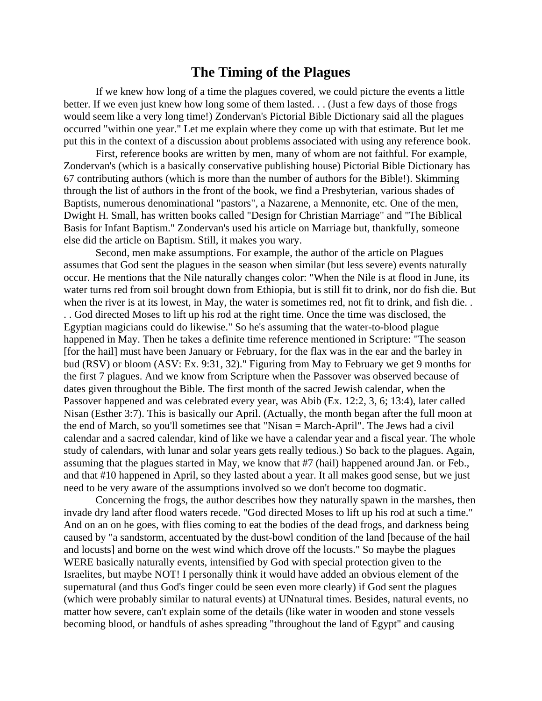### **The Timing of the Plagues**

 If we knew how long of a time the plagues covered, we could picture the events a little better. If we even just knew how long some of them lasted. . . (Just a few days of those frogs would seem like a very long time!) Zondervan's Pictorial Bible Dictionary said all the plagues occurred "within one year." Let me explain where they come up with that estimate. But let me put this in the context of a discussion about problems associated with using any reference book.

 First, reference books are written by men, many of whom are not faithful. For example, Zondervan's (which is a basically conservative publishing house) Pictorial Bible Dictionary has 67 contributing authors (which is more than the number of authors for the Bible!). Skimming through the list of authors in the front of the book, we find a Presbyterian, various shades of Baptists, numerous denominational "pastors", a Nazarene, a Mennonite, etc. One of the men, Dwight H. Small, has written books called "Design for Christian Marriage" and "The Biblical Basis for Infant Baptism." Zondervan's used his article on Marriage but, thankfully, someone else did the article on Baptism. Still, it makes you wary.

 Second, men make assumptions. For example, the author of the article on Plagues assumes that God sent the plagues in the season when similar (but less severe) events naturally occur. He mentions that the Nile naturally changes color: "When the Nile is at flood in June, its water turns red from soil brought down from Ethiopia, but is still fit to drink, nor do fish die. But when the river is at its lowest, in May, the water is sometimes red, not fit to drink, and fish die... . . God directed Moses to lift up his rod at the right time. Once the time was disclosed, the Egyptian magicians could do likewise." So he's assuming that the water-to-blood plague happened in May. Then he takes a definite time reference mentioned in Scripture: "The season [for the hail] must have been January or February, for the flax was in the ear and the barley in bud (RSV) or bloom (ASV: Ex. 9:31, 32)." Figuring from May to February we get 9 months for the first 7 plagues. And we know from Scripture when the Passover was observed because of dates given throughout the Bible. The first month of the sacred Jewish calendar, when the Passover happened and was celebrated every year, was Abib (Ex. 12:2, 3, 6; 13:4), later called Nisan (Esther 3:7). This is basically our April. (Actually, the month began after the full moon at the end of March, so you'll sometimes see that "Nisan = March-April". The Jews had a civil calendar and a sacred calendar, kind of like we have a calendar year and a fiscal year. The whole study of calendars, with lunar and solar years gets really tedious.) So back to the plagues. Again, assuming that the plagues started in May, we know that #7 (hail) happened around Jan. or Feb., and that #10 happened in April, so they lasted about a year. It all makes good sense, but we just need to be very aware of the assumptions involved so we don't become too dogmatic.

 Concerning the frogs, the author describes how they naturally spawn in the marshes, then invade dry land after flood waters recede. "God directed Moses to lift up his rod at such a time." And on an on he goes, with flies coming to eat the bodies of the dead frogs, and darkness being caused by "a sandstorm, accentuated by the dust-bowl condition of the land [because of the hail and locusts] and borne on the west wind which drove off the locusts." So maybe the plagues WERE basically naturally events, intensified by God with special protection given to the Israelites, but maybe NOT! I personally think it would have added an obvious element of the supernatural (and thus God's finger could be seen even more clearly) if God sent the plagues (which were probably similar to natural events) at UNnatural times. Besides, natural events, no matter how severe, can't explain some of the details (like water in wooden and stone vessels becoming blood, or handfuls of ashes spreading "throughout the land of Egypt" and causing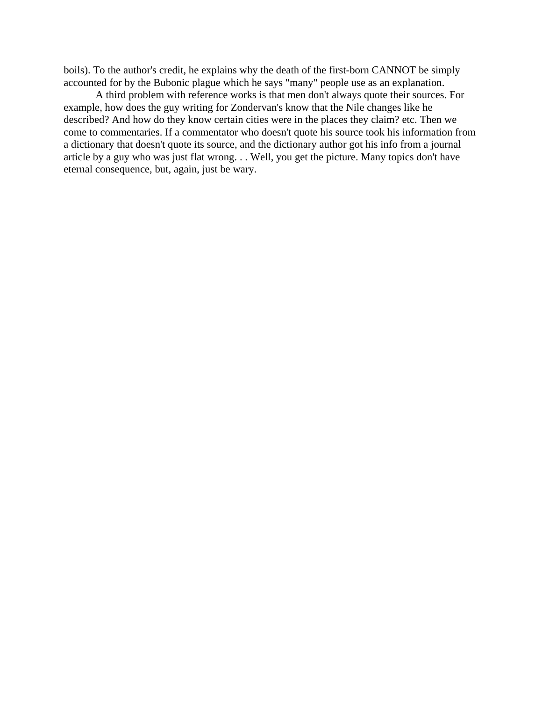boils). To the author's credit, he explains why the death of the first-born CANNOT be simply accounted for by the Bubonic plague which he says "many" people use as an explanation.

 A third problem with reference works is that men don't always quote their sources. For example, how does the guy writing for Zondervan's know that the Nile changes like he described? And how do they know certain cities were in the places they claim? etc. Then we come to commentaries. If a commentator who doesn't quote his source took his information from a dictionary that doesn't quote its source, and the dictionary author got his info from a journal article by a guy who was just flat wrong. . . Well, you get the picture. Many topics don't have eternal consequence, but, again, just be wary.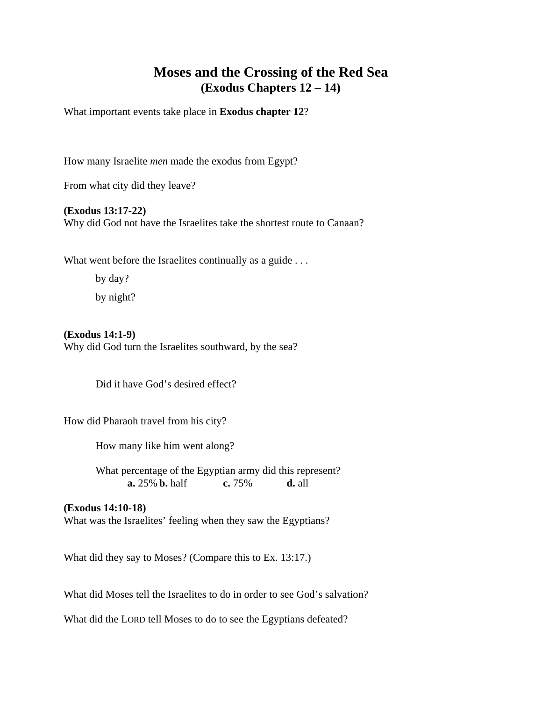### **Moses and the Crossing of the Red Sea (Exodus Chapters 12 – 14)**

What important events take place in **Exodus chapter 12**?

How many Israelite *men* made the exodus from Egypt?

From what city did they leave?

#### **(Exodus 13:17-22)**

Why did God not have the Israelites take the shortest route to Canaan?

What went before the Israelites continually as a guide . . .

 by day? by night?

#### **(Exodus 14:1-9)**

Why did God turn the Israelites southward, by the sea?

Did it have God's desired effect?

How did Pharaoh travel from his city?

How many like him went along?

 What percentage of the Egyptian army did this represent? **a.** 25% **b.** half **c.** 75% **d.** all

#### **(Exodus 14:10-18)**

What was the Israelites' feeling when they saw the Egyptians?

What did they say to Moses? (Compare this to Ex. 13:17.)

What did Moses tell the Israelites to do in order to see God's salvation?

What did the LORD tell Moses to do to see the Egyptians defeated?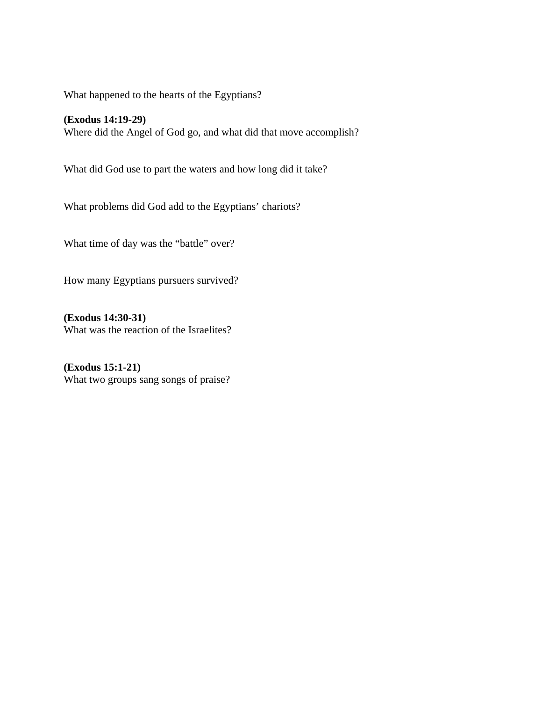What happened to the hearts of the Egyptians?

**(Exodus 14:19-29)**  Where did the Angel of God go, and what did that move accomplish?

What did God use to part the waters and how long did it take?

What problems did God add to the Egyptians' chariots?

What time of day was the "battle" over?

How many Egyptians pursuers survived?

**(Exodus 14:30-31)**  What was the reaction of the Israelites?

**(Exodus 15:1-21)**  What two groups sang songs of praise?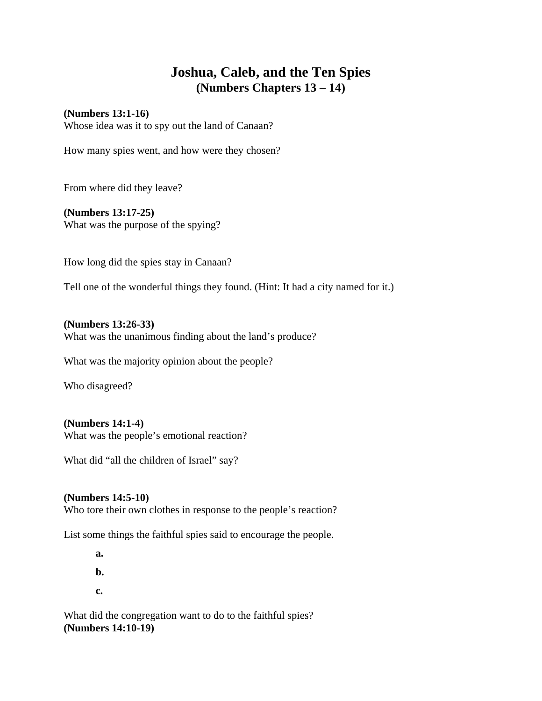# **Joshua, Caleb, and the Ten Spies (Numbers Chapters 13 – 14)**

#### **(Numbers 13:1-16)**

Whose idea was it to spy out the land of Canaan?

How many spies went, and how were they chosen?

From where did they leave?

#### **(Numbers 13:17-25)**

What was the purpose of the spying?

How long did the spies stay in Canaan?

Tell one of the wonderful things they found. (Hint: It had a city named for it.)

**(Numbers 13:26-33)**  What was the unanimous finding about the land's produce?

What was the majority opinion about the people?

Who disagreed?

#### **(Numbers 14:1-4)**

What was the people's emotional reaction?

What did "all the children of Israel" say?

#### **(Numbers 14:5-10)**

Who tore their own clothes in response to the people's reaction?

List some things the faithful spies said to encourage the people.

 **a. b.** 

 **c.** 

What did the congregation want to do to the faithful spies? **(Numbers 14:10-19)**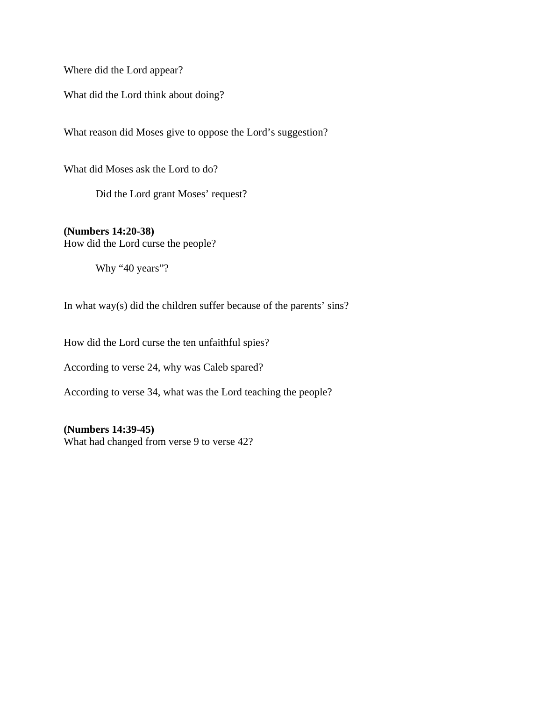Where did the Lord appear?

What did the Lord think about doing?

What reason did Moses give to oppose the Lord's suggestion?

What did Moses ask the Lord to do?

Did the Lord grant Moses' request?

**(Numbers 14:20-38)** How did the Lord curse the people?

Why "40 years"?

In what way(s) did the children suffer because of the parents' sins?

How did the Lord curse the ten unfaithful spies?

According to verse 24, why was Caleb spared?

According to verse 34, what was the Lord teaching the people?

**(Numbers 14:39-45)**  What had changed from verse 9 to verse 42?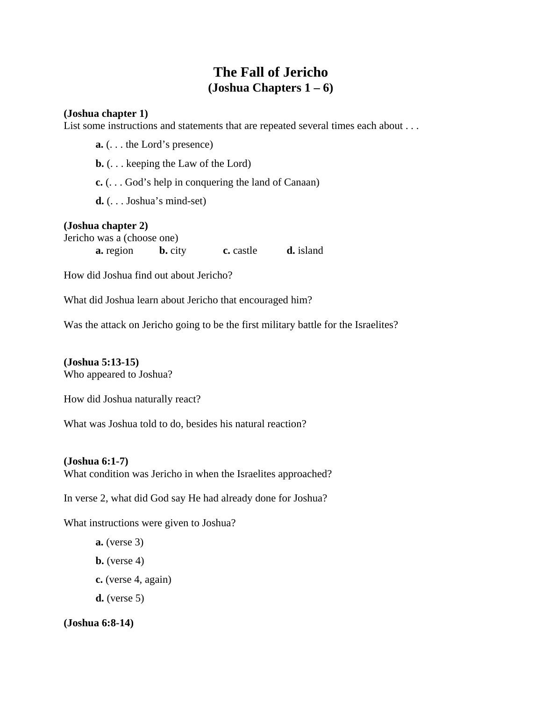### **The Fall of Jericho (Joshua Chapters 1 – 6)**

#### **(Joshua chapter 1)**

List some instructions and statements that are repeated several times each about . . .

**a.** (. . . the Lord's presence) **b.** (. . . keeping the Law of the Lord)

**c.** (. . . God's help in conquering the land of Canaan)

**d.** (. . . Joshua's mind-set)

#### **(Joshua chapter 2)**

Jericho was a (choose one) **a.** region **b.** city **c.** castle **d.** island

How did Joshua find out about Jericho?

What did Joshua learn about Jericho that encouraged him?

Was the attack on Jericho going to be the first military battle for the Israelites?

**(Joshua 5:13-15)**  Who appeared to Joshua?

How did Joshua naturally react?

What was Joshua told to do, besides his natural reaction?

#### **(Joshua 6:1-7)**

What condition was Jericho in when the Israelites approached?

In verse 2, what did God say He had already done for Joshua?

What instructions were given to Joshua?

**a.** (verse 3) **b.** (verse 4) **c.** (verse 4, again) **d.** (verse 5)

#### **(Joshua 6:8-14)**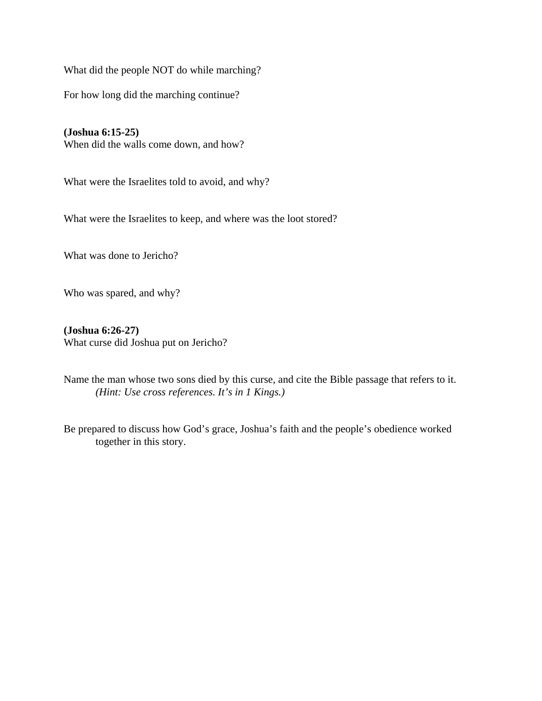What did the people NOT do while marching?

For how long did the marching continue?

**(Joshua 6:15-25)**  When did the walls come down, and how?

What were the Israelites told to avoid, and why?

What were the Israelites to keep, and where was the loot stored?

What was done to Jericho?

Who was spared, and why?

**(Joshua 6:26-27)**  What curse did Joshua put on Jericho?

Name the man whose two sons died by this curse, and cite the Bible passage that refers to it. *(Hint: Use cross references. It's in 1 Kings.)* 

Be prepared to discuss how God's grace, Joshua's faith and the people's obedience worked together in this story.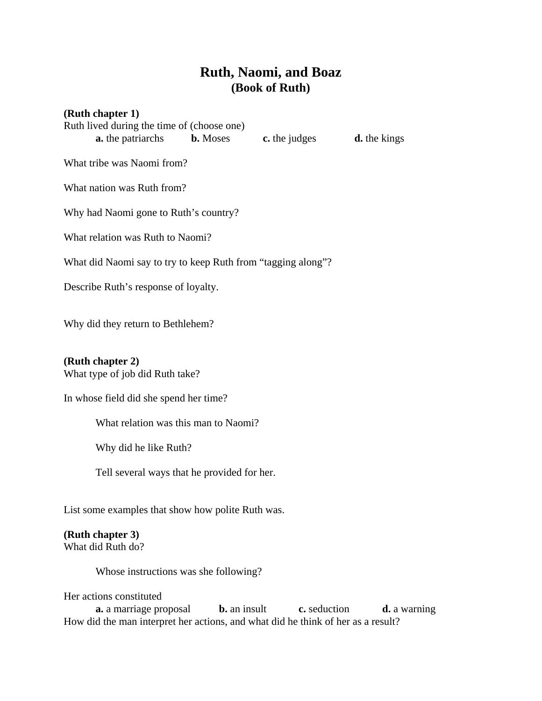# **Ruth, Naomi, and Boaz (Book of Ruth)**

**the kings** 

| (Ruth chapter 1)                                             |               |    |
|--------------------------------------------------------------|---------------|----|
| Ruth lived during the time of (choose one)                   |               |    |
| <b>a.</b> the patriarchs <b>b.</b> Moses                     | c. the judges | d. |
| What tribe was Naomi from?                                   |               |    |
| What nation was Ruth from?                                   |               |    |
| Why had Naomi gone to Ruth's country?                        |               |    |
| What relation was Ruth to Naomi?                             |               |    |
| What did Naomi say to try to keep Ruth from "tagging along"? |               |    |
| Describe Ruth's response of loyalty.                         |               |    |
|                                                              |               |    |
| Why did they return to Bethlehem?                            |               |    |

#### **(Ruth chapter 2)**

What type of job did Ruth take?

In whose field did she spend her time?

What relation was this man to Naomi?

Why did he like Ruth?

Tell several ways that he provided for her.

List some examples that show how polite Ruth was.

#### **(Ruth chapter 3)**

What did Ruth do?

Whose instructions was she following?

Her actions constituted

**a.** a marriage proposal **b.** an insult **c.** seduction **d.** a warning How did the man interpret her actions, and what did he think of her as a result?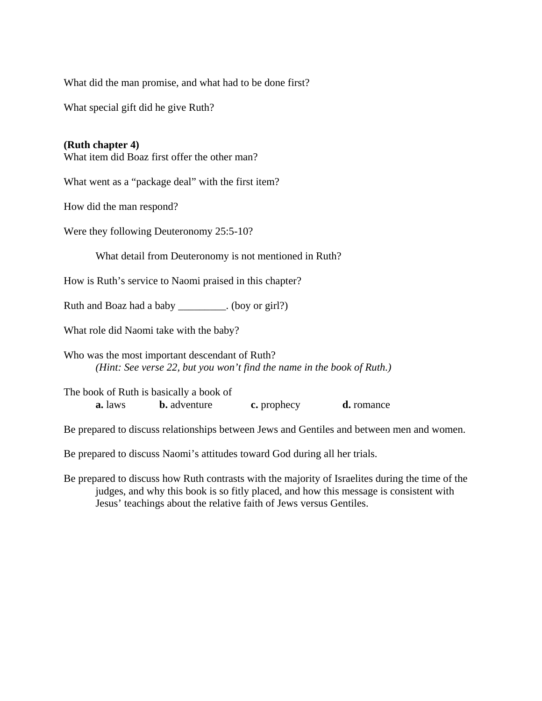What did the man promise, and what had to be done first?

What special gift did he give Ruth?

#### **(Ruth chapter 4)**

What item did Boaz first offer the other man?

What went as a "package deal" with the first item?

How did the man respond?

Were they following Deuteronomy 25:5-10?

What detail from Deuteronomy is not mentioned in Ruth?

How is Ruth's service to Naomi praised in this chapter?

Ruth and Boaz had a baby \_\_\_\_\_\_\_\_\_. (boy or girl?)

What role did Naomi take with the baby?

Who was the most important descendant of Ruth?  *(Hint: See verse 22, but you won't find the name in the book of Ruth.)* 

The book of Ruth is basically a book of **a.** laws **b.** adventure **c.** prophecy **d.** romance

Be prepared to discuss relationships between Jews and Gentiles and between men and women.

Be prepared to discuss Naomi's attitudes toward God during all her trials.

Be prepared to discuss how Ruth contrasts with the majority of Israelites during the time of the judges, and why this book is so fitly placed, and how this message is consistent with Jesus' teachings about the relative faith of Jews versus Gentiles.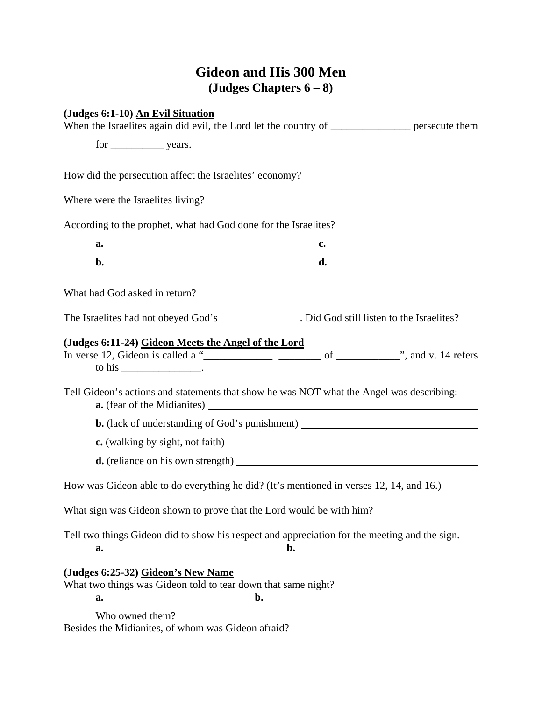# **Gideon and His 300 Men (Judges Chapters 6 – 8)**

|                                   | (Judges 6:1-10) An Evil Situation<br>When the Israelites again did evil, the Lord let the country of ______________ persecute them |    |  |
|-----------------------------------|------------------------------------------------------------------------------------------------------------------------------------|----|--|
|                                   |                                                                                                                                    |    |  |
|                                   | How did the persecution affect the Israelites' economy?                                                                            |    |  |
| Where were the Israelites living? |                                                                                                                                    |    |  |
|                                   | According to the prophet, what had God done for the Israelites?                                                                    |    |  |
| a.                                |                                                                                                                                    | c. |  |
| b.                                |                                                                                                                                    | d. |  |
| What had God asked in return?     |                                                                                                                                    |    |  |
|                                   | The Israelites had not obeyed God's ______________. Did God still listen to the Israelites?                                        |    |  |
|                                   | (Judges 6:11-24) Gideon Meets the Angel of the Lord<br>to his $\frac{\phantom{aaaa}}{\phantom{aaaa}}$ .                            |    |  |
|                                   | Tell Gideon's actions and statements that show he was NOT what the Angel was describing:                                           |    |  |
|                                   | <b>b.</b> (lack of understanding of God's punishment) ________________________________                                             |    |  |
|                                   |                                                                                                                                    |    |  |
|                                   |                                                                                                                                    |    |  |
|                                   | How was Gideon able to do everything he did? (It's mentioned in verses 12, 14, and 16.)                                            |    |  |
|                                   | What sign was Gideon shown to prove that the Lord would be with him?                                                               |    |  |
| a.                                | Tell two things Gideon did to show his respect and appreciation for the meeting and the sign.                                      | b. |  |
| a.                                | (Judges 6:25-32) Gideon's New Name<br>What two things was Gideon told to tear down that same night?                                | b. |  |
| Who owned them?                   | Besides the Midianites, of whom was Gideon afraid?                                                                                 |    |  |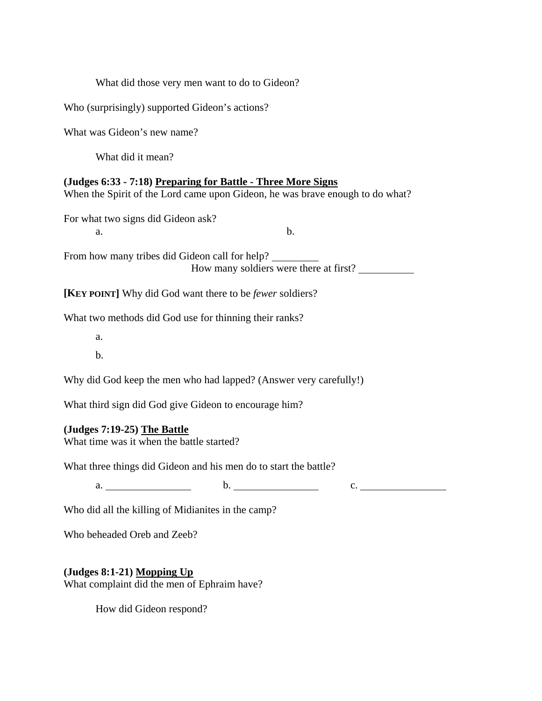| What did those very men want to do to Gideon?                                                                                                 |
|-----------------------------------------------------------------------------------------------------------------------------------------------|
| Who (surprisingly) supported Gideon's actions?                                                                                                |
| What was Gideon's new name?                                                                                                                   |
| What did it mean?                                                                                                                             |
| (Judges 6:33 - 7:18) Preparing for Battle - Three More Signs<br>When the Spirit of the Lord came upon Gideon, he was brave enough to do what? |
| For what two signs did Gideon ask?<br>b.<br>a.                                                                                                |
| From how many tribes did Gideon call for help?<br>How many soldiers were there at first?                                                      |
| <b>[KEY POINT]</b> Why did God want there to be <i>fewer</i> soldiers?                                                                        |
| What two methods did God use for thinning their ranks?                                                                                        |
| a.                                                                                                                                            |
| b.                                                                                                                                            |
| Why did God keep the men who had lapped? (Answer very carefully!)                                                                             |
| What third sign did God give Gideon to encourage him?                                                                                         |
| $(Judges 7:19-25)$ The Battle<br>What time was it when the battle started?                                                                    |
| What three things did Gideon and his men do to start the battle?                                                                              |
| a. $\qquad \qquad b.$<br>c.                                                                                                                   |
| Who did all the killing of Midianites in the camp?                                                                                            |
| Who beheaded Oreb and Zeeb?                                                                                                                   |
| (Judges 8:1-21) Mopping Up                                                                                                                    |

What complaint did the men of Ephraim have?

How did Gideon respond?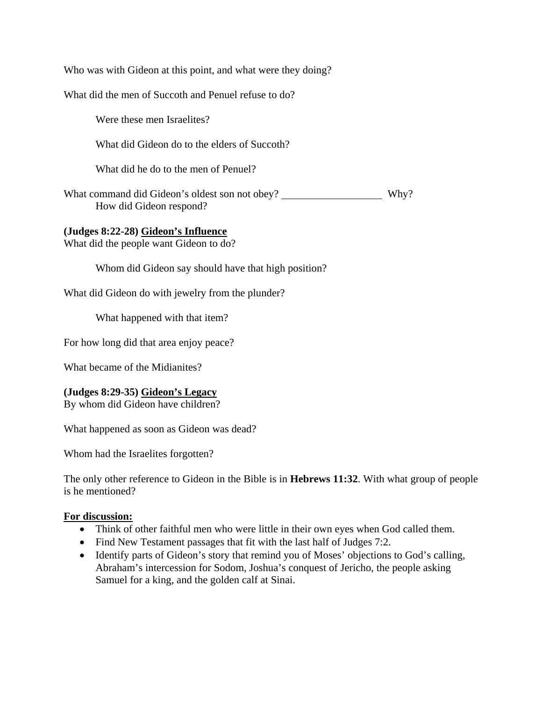Who was with Gideon at this point, and what were they doing?

What did the men of Succoth and Penuel refuse to do?

Were these men Israelites?

What did Gideon do to the elders of Succoth?

What did he do to the men of Penuel?

What command did Gideon's oldest son not obey? \_\_\_\_\_\_\_\_\_\_\_\_\_\_\_\_\_\_\_\_\_\_\_ Why? How did Gideon respond?

#### **(Judges 8:22-28) Gideon's Influence**

What did the people want Gideon to do?

Whom did Gideon say should have that high position?

What did Gideon do with jewelry from the plunder?

What happened with that item?

For how long did that area enjoy peace?

What became of the Midianites?

#### **(Judges 8:29-35) Gideon's Legacy**

By whom did Gideon have children?

What happened as soon as Gideon was dead?

Whom had the Israelites forgotten?

The only other reference to Gideon in the Bible is in **Hebrews 11:32**. With what group of people is he mentioned?

#### **For discussion:**

- Think of other faithful men who were little in their own eyes when God called them.
- Find New Testament passages that fit with the last half of Judges 7:2.
- Identify parts of Gideon's story that remind you of Moses' objections to God's calling, Abraham's intercession for Sodom, Joshua's conquest of Jericho, the people asking Samuel for a king, and the golden calf at Sinai.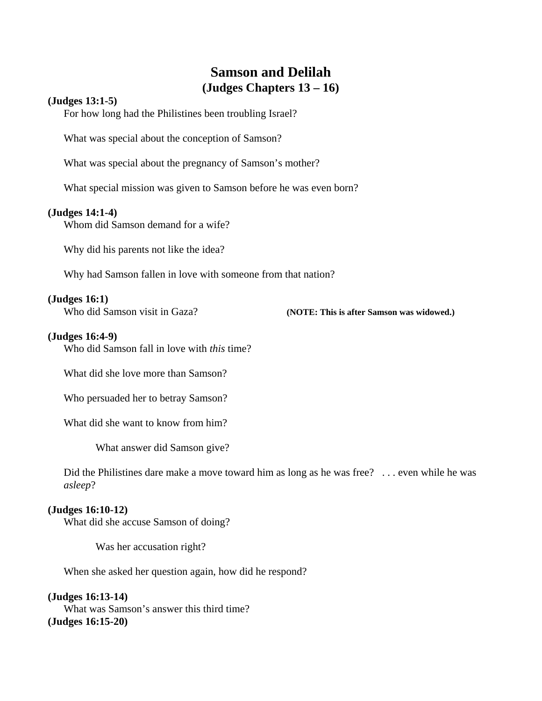### **Samson and Delilah (Judges Chapters 13 – 16)**

#### **(Judges 13:1-5)**

For how long had the Philistines been troubling Israel?

What was special about the conception of Samson?

What was special about the pregnancy of Samson's mother?

What special mission was given to Samson before he was even born?

#### **(Judges 14:1-4)**

Whom did Samson demand for a wife?

Why did his parents not like the idea?

Why had Samson fallen in love with someone from that nation?

#### **(Judges 16:1)**

Who did Samson visit in Gaza? **(NOTE: This is after Samson was widowed.)**

#### **(Judges 16:4-9)**

Who did Samson fall in love with *this* time?

What did she love more than Samson?

Who persuaded her to betray Samson?

What did she want to know from him?

What answer did Samson give?

Did the Philistines dare make a move toward him as long as he was free? ... even while he was *asleep*?

#### **(Judges 16:10-12)**

What did she accuse Samson of doing?

Was her accusation right?

When she asked her question again, how did he respond?

#### **(Judges 16:13-14)**

What was Samson's answer this third time? **(Judges 16:15-20)**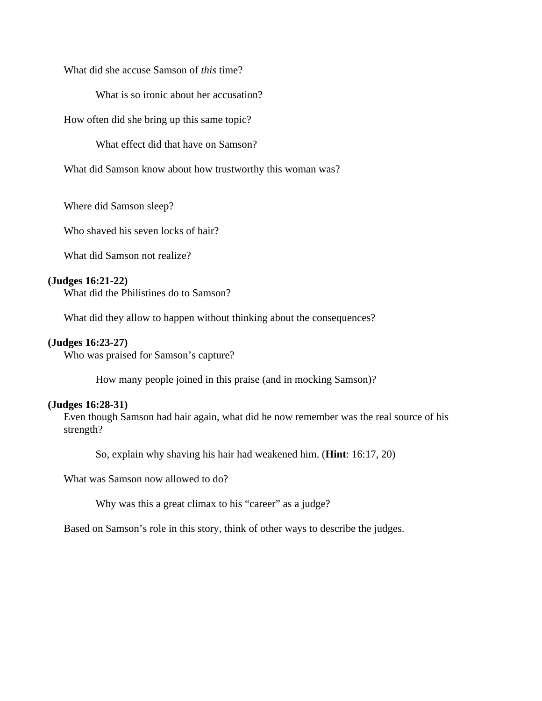What did she accuse Samson of *this* time?

What is so ironic about her accusation?

How often did she bring up this same topic?

What effect did that have on Samson?

What did Samson know about how trustworthy this woman was?

Where did Samson sleep?

Who shaved his seven locks of hair?

What did Samson not realize?

#### **(Judges 16:21-22)**

What did the Philistines do to Samson?

What did they allow to happen without thinking about the consequences?

#### **(Judges 16:23-27)**

Who was praised for Samson's capture?

How many people joined in this praise (and in mocking Samson)?

#### **(Judges 16:28-31)**

Even though Samson had hair again, what did he now remember was the real source of his strength?

So, explain why shaving his hair had weakened him. (**Hint**: 16:17, 20)

What was Samson now allowed to do?

Why was this a great climax to his "career" as a judge?

Based on Samson's role in this story, think of other ways to describe the judges.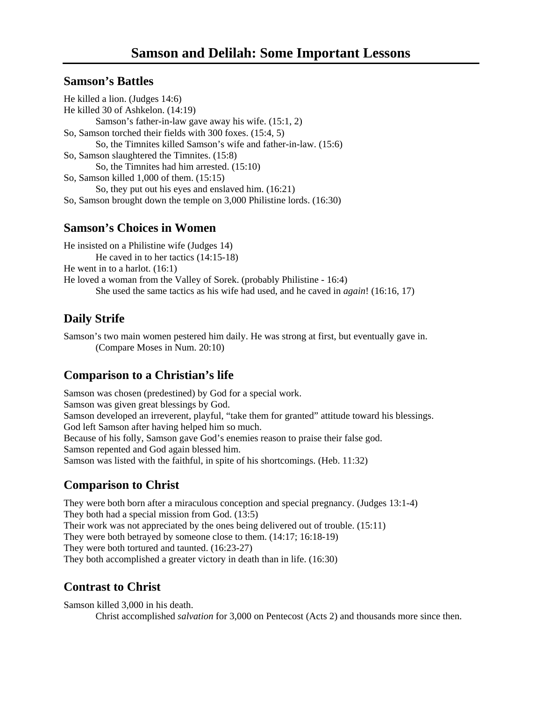### **Samson's Battles**

He killed a lion. (Judges 14:6) He killed 30 of Ashkelon. (14:19) Samson's father-in-law gave away his wife. (15:1, 2) So, Samson torched their fields with 300 foxes. (15:4, 5) So, the Timnites killed Samson's wife and father-in-law. (15:6) So, Samson slaughtered the Timnites. (15:8) So, the Timnites had him arrested. (15:10) So, Samson killed 1,000 of them. (15:15) So, they put out his eyes and enslaved him. (16:21) So, Samson brought down the temple on 3,000 Philistine lords. (16:30)

### **Samson's Choices in Women**

He insisted on a Philistine wife (Judges 14) He caved in to her tactics (14:15-18) He went in to a harlot. (16:1) He loved a woman from the Valley of Sorek. (probably Philistine - 16:4) She used the same tactics as his wife had used, and he caved in *again*! (16:16, 17)

# **Daily Strife**

Samson's two main women pestered him daily. He was strong at first, but eventually gave in. (Compare Moses in Num. 20:10)

### **Comparison to a Christian's life**

Samson was chosen (predestined) by God for a special work. Samson was given great blessings by God. Samson developed an irreverent, playful, "take them for granted" attitude toward his blessings. God left Samson after having helped him so much. Because of his folly, Samson gave God's enemies reason to praise their false god. Samson repented and God again blessed him. Samson was listed with the faithful, in spite of his shortcomings. (Heb. 11:32)

### **Comparison to Christ**

They were both born after a miraculous conception and special pregnancy. (Judges 13:1-4) They both had a special mission from God. (13:5) Their work was not appreciated by the ones being delivered out of trouble. (15:11) They were both betrayed by someone close to them. (14:17; 16:18-19) They were both tortured and taunted. (16:23-27) They both accomplished a greater victory in death than in life. (16:30)

### **Contrast to Christ**

Samson killed 3,000 in his death. Christ accomplished *salvation* for 3,000 on Pentecost (Acts 2) and thousands more since then.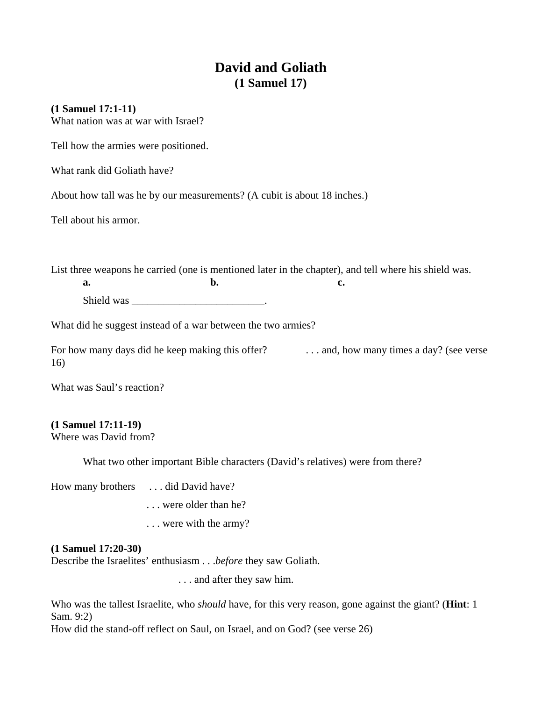# **David and Goliath (1 Samuel 17)**

#### **(1 Samuel 17:1-11)**

What nation was at war with Israel?

Tell how the armies were positioned.

What rank did Goliath have?

About how tall was he by our measurements? (A cubit is about 18 inches.)

Tell about his armor.

List three weapons he carried (one is mentioned later in the chapter), and tell where his shield was. **a. b. c. c.** 

Shield was the contract of the state of the state of the state of the state of the state of the state of the state of the state of the state of the state of the state of the state of the state of the state of the state of

What did he suggest instead of a war between the two armies?

For how many days did he keep making this offer? . . . . . . . . and, how many times a day? (see verse 16)

What was Saul's reaction?

#### **(1 Samuel 17:11-19)**

Where was David from?

What two other important Bible characters (David's relatives) were from there?

How many brothers . . . did David have?

. . . were older than he?

. . . were with the army?

#### **(1 Samuel 17:20-30)**

Describe the Israelites' enthusiasm . . .*before* they saw Goliath.

. . . and after they saw him.

Who was the tallest Israelite, who *should* have, for this very reason, gone against the giant? (**Hint**: 1 Sam. 9:2)

How did the stand-off reflect on Saul, on Israel, and on God? (see verse 26)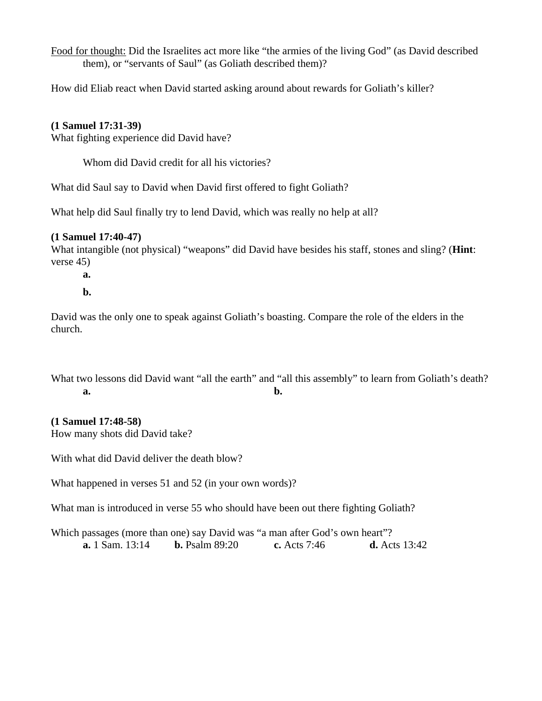Food for thought: Did the Israelites act more like "the armies of the living God" (as David described them), or "servants of Saul" (as Goliath described them)?

How did Eliab react when David started asking around about rewards for Goliath's killer?

#### **(1 Samuel 17:31-39)**

What fighting experience did David have?

Whom did David credit for all his victories?

What did Saul say to David when David first offered to fight Goliath?

What help did Saul finally try to lend David, which was really no help at all?

#### **(1 Samuel 17:40-47)**

What intangible (not physical) "weapons" did David have besides his staff, stones and sling? (**Hint**: verse 45)

 **a.** 

 **b.** 

David was the only one to speak against Goliath's boasting. Compare the role of the elders in the church.

What two lessons did David want "all the earth" and "all this assembly" to learn from Goliath's death? **a. b. b.** 

#### **(1 Samuel 17:48-58)**

How many shots did David take?

With what did David deliver the death blow?

What happened in verses 51 and 52 (in your own words)?

What man is introduced in verse 55 who should have been out there fighting Goliath?

Which passages (more than one) say David was "a man after God's own heart"? **a.** 1 Sam. 13:14 **b.** Psalm 89:20 **c.** Acts 7:46 **d.** Acts 13:42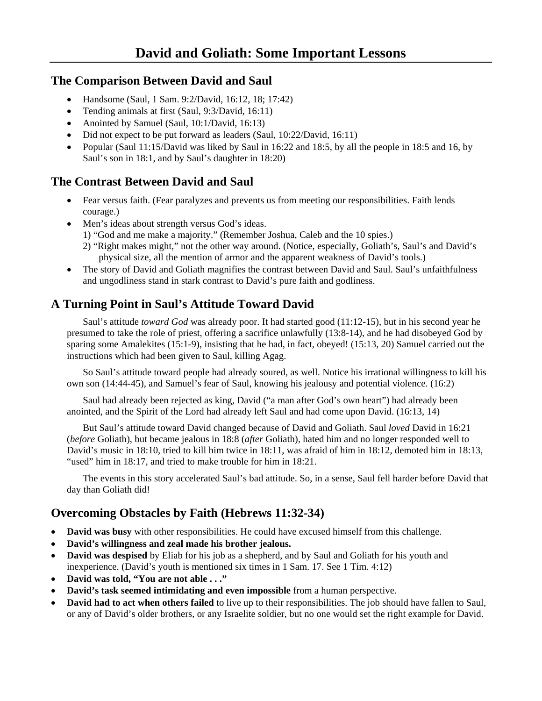### **The Comparison Between David and Saul**

- Handsome (Saul, 1 Sam. 9:2/David, 16:12, 18; 17:42)
- Tending animals at first (Saul, 9:3/David, 16:11)
- Anointed by Samuel (Saul, 10:1/David, 16:13)
- Did not expect to be put forward as leaders (Saul, 10:22/David, 16:11)
- Popular (Saul 11:15/David was liked by Saul in 16:22 and 18:5, by all the people in 18:5 and 16, by Saul's son in 18:1, and by Saul's daughter in 18:20)

# **The Contrast Between David and Saul**

- Fear versus faith. (Fear paralyzes and prevents us from meeting our responsibilities. Faith lends courage.)
- Men's ideas about strength versus God's ideas.
	- 1) "God and me make a majority." (Remember Joshua, Caleb and the 10 spies.)
	- 2) "Right makes might," not the other way around. (Notice, especially, Goliath's, Saul's and David's physical size, all the mention of armor and the apparent weakness of David's tools.)
- The story of David and Goliath magnifies the contrast between David and Saul. Saul's unfaithfulness and ungodliness stand in stark contrast to David's pure faith and godliness.

# **A Turning Point in Saul's Attitude Toward David**

 Saul's attitude *toward God* was already poor. It had started good (11:12-15), but in his second year he presumed to take the role of priest, offering a sacrifice unlawfully (13:8-14), and he had disobeyed God by sparing some Amalekites (15:1-9), insisting that he had, in fact, obeyed! (15:13, 20) Samuel carried out the instructions which had been given to Saul, killing Agag.

 So Saul's attitude toward people had already soured, as well. Notice his irrational willingness to kill his own son (14:44-45), and Samuel's fear of Saul, knowing his jealousy and potential violence. (16:2)

 Saul had already been rejected as king, David ("a man after God's own heart") had already been anointed, and the Spirit of the Lord had already left Saul and had come upon David. (16:13, 14)

 But Saul's attitude toward David changed because of David and Goliath. Saul *loved* David in 16:21 (*before* Goliath), but became jealous in 18:8 (*after* Goliath), hated him and no longer responded well to David's music in 18:10, tried to kill him twice in 18:11, was afraid of him in 18:12, demoted him in 18:13, "used" him in 18:17, and tried to make trouble for him in 18:21.

 The events in this story accelerated Saul's bad attitude. So, in a sense, Saul fell harder before David that day than Goliath did!

# **Overcoming Obstacles by Faith (Hebrews 11:32-34)**

- **David was busy** with other responsibilities. He could have excused himself from this challenge.
- **David's willingness and zeal made his brother jealous.**
- **David was despised** by Eliab for his job as a shepherd, and by Saul and Goliath for his youth and inexperience. (David's youth is mentioned six times in 1 Sam. 17. See 1 Tim. 4:12)
- **David was told, "You are not able . . ."**
- **David's task seemed intimidating and even impossible** from a human perspective.
- **David had to act when others failed** to live up to their responsibilities. The job should have fallen to Saul, or any of David's older brothers, or any Israelite soldier, but no one would set the right example for David.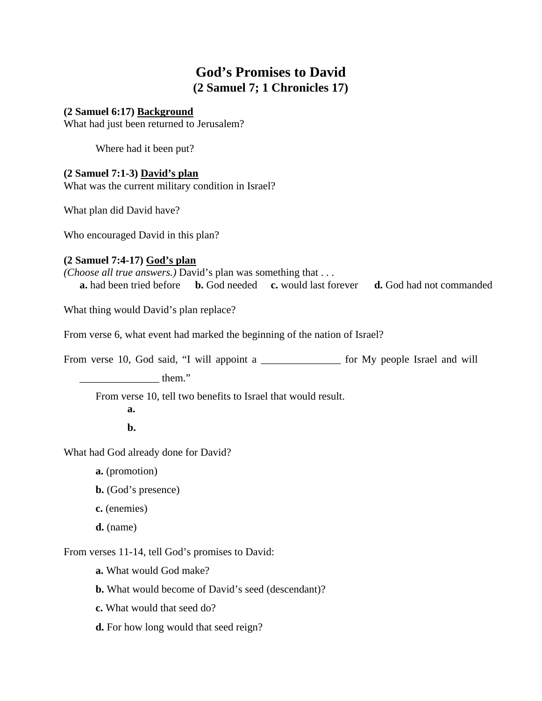# **God's Promises to David (2 Samuel 7; 1 Chronicles 17)**

#### **(2 Samuel 6:17) Background**

What had just been returned to Jerusalem?

Where had it been put?

#### **(2 Samuel 7:1-3) David's plan**

What was the current military condition in Israel?

What plan did David have?

Who encouraged David in this plan?

#### **(2 Samuel 7:4-17) God's plan**

*(Choose all true answers.)* David's plan was something that . . . **a.** had been tried before **b.** God needed **c.** would last forever **d.** God had not commanded

What thing would David's plan replace?

From verse 6, what event had marked the beginning of the nation of Israel?

From verse 10, God said, "I will appoint a \_\_\_\_\_\_\_\_\_\_\_\_\_\_\_ for My people Israel and will

 $\mu$  them."

From verse 10, tell two benefits to Israel that would result.

 **a. b.** 

What had God already done for David?

**a.** (promotion)

**b.** (God's presence)

**c.** (enemies)

**d.** (name)

From verses 11-14, tell God's promises to David:

**a.** What would God make?

**b.** What would become of David's seed (descendant)?

**c.** What would that seed do?

**d.** For how long would that seed reign?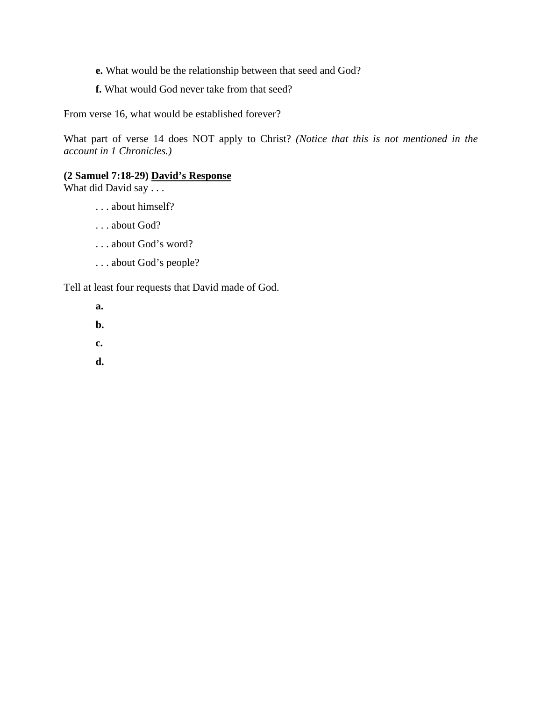- **e.** What would be the relationship between that seed and God?
- **f.** What would God never take from that seed?

From verse 16, what would be established forever?

What part of verse 14 does NOT apply to Christ? *(Notice that this is not mentioned in the account in 1 Chronicles.)* 

#### **(2 Samuel 7:18-29) David's Response**

What did David say . . .

- . . . about himself?
- . . . about God?
- . . . about God's word?
- . . . about God's people?

Tell at least four requests that David made of God.

 **a.** 

- **b.**
- **c.**
- **d.**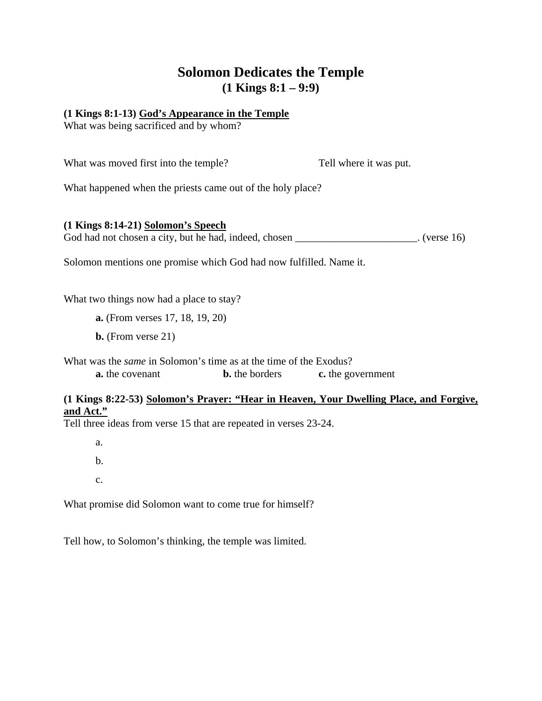# **Solomon Dedicates the Temple (1 Kings 8:1 – 9:9)**

#### **(1 Kings 8:1-13) God's Appearance in the Temple**

What was being sacrificed and by whom?

| What was moved first into the temple?                      | Tell where it was put. |
|------------------------------------------------------------|------------------------|
| What happened when the priests came out of the holy place? |                        |
|                                                            |                        |

**(1 Kings 8:14-21) Solomon's Speech** God had not chosen a city, but he had, indeed, chosen \_\_\_\_\_\_\_\_\_\_\_\_\_\_\_\_\_\_\_\_\_. (verse 16)

Solomon mentions one promise which God had now fulfilled. Name it.

What two things now had a place to stay?

**a.** (From verses 17, 18, 19, 20)

**b.** (From verse 21)

What was the *same* in Solomon's time as at the time of the Exodus? **a.** the covenant **b.** the borders **c.** the government

#### **(1 Kings 8:22-53) Solomon's Prayer: "Hear in Heaven, Your Dwelling Place, and Forgive, and Act."**

Tell three ideas from verse 15 that are repeated in verses 23-24.

a.

b.

c.

What promise did Solomon want to come true for himself?

Tell how, to Solomon's thinking, the temple was limited.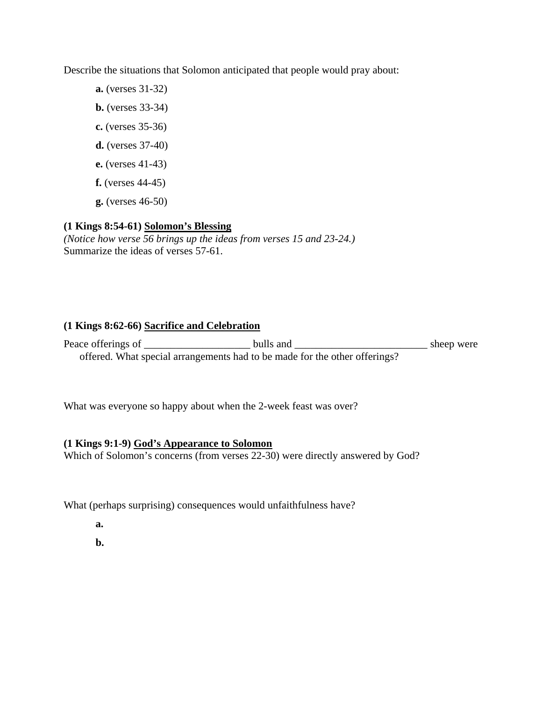Describe the situations that Solomon anticipated that people would pray about:

- **a.** (verses 31-32)
- **b.** (verses 33-34)
- **c.** (verses 35-36)
- **d.** (verses 37-40)
- **e.** (verses 41-43)
- **f.** (verses 44-45)
- **g.** (verses 46-50)

### **(1 Kings 8:54-61) Solomon's Blessing**

*(Notice how verse 56 brings up the ideas from verses 15 and 23-24.)*  Summarize the ideas of verses 57-61.

#### **(1 Kings 8:62-66) Sacrifice and Celebration**

Peace offerings of \_\_\_\_\_\_\_\_\_\_\_\_\_\_\_\_\_\_\_\_ bulls and \_\_\_\_\_\_\_\_\_\_\_\_\_\_\_\_\_\_\_\_\_\_\_\_\_ sheep were offered. What special arrangements had to be made for the other offerings?

What was everyone so happy about when the 2-week feast was over?

### **(1 Kings 9:1-9) God's Appearance to Solomon**

Which of Solomon's concerns (from verses 22-30) were directly answered by God?

What (perhaps surprising) consequences would unfaithfulness have?

- **a.**
- **b.**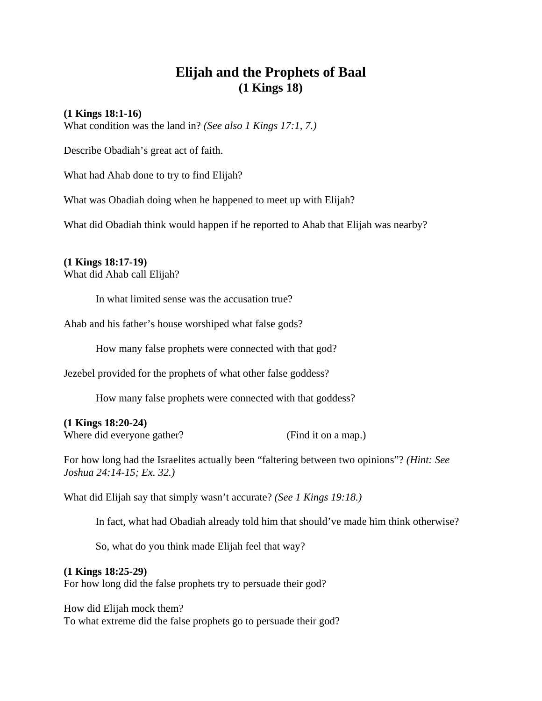# **Elijah and the Prophets of Baal (1 Kings 18)**

#### **(1 Kings 18:1-16)**

What condition was the land in? *(See also 1 Kings 17:1, 7.)* 

Describe Obadiah's great act of faith.

What had Ahab done to try to find Elijah?

What was Obadiah doing when he happened to meet up with Elijah?

What did Obadiah think would happen if he reported to Ahab that Elijah was nearby?

#### **(1 Kings 18:17-19)**

What did Ahab call Elijah?

In what limited sense was the accusation true?

Ahab and his father's house worshiped what false gods?

How many false prophets were connected with that god?

Jezebel provided for the prophets of what other false goddess?

How many false prophets were connected with that goddess?

**(1 Kings 18:20-24)** 

Where did everyone gather? (Find it on a map.)

For how long had the Israelites actually been "faltering between two opinions"? *(Hint: See Joshua 24:14-15; Ex. 32.)* 

What did Elijah say that simply wasn't accurate? *(See 1 Kings 19:18.)*

In fact, what had Obadiah already told him that should've made him think otherwise?

So, what do you think made Elijah feel that way?

#### **(1 Kings 18:25-29)**

For how long did the false prophets try to persuade their god?

How did Elijah mock them? To what extreme did the false prophets go to persuade their god?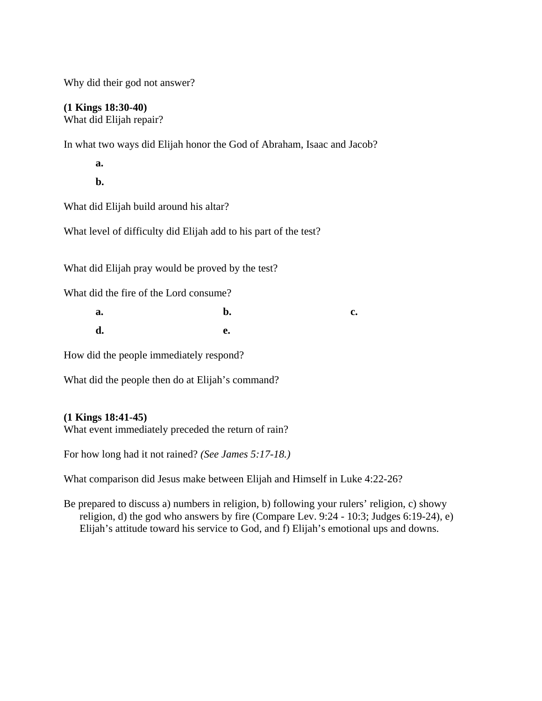Why did their god not answer?

### **(1 Kings 18:30-40)**

What did Elijah repair?

In what two ways did Elijah honor the God of Abraham, Isaac and Jacob?

**a.** 

**b**.

What did Elijah build around his altar?

What level of difficulty did Elijah add to his part of the test?

What did Elijah pray would be proved by the test?

What did the fire of the Lord consume?

| <b>a.</b>      | b. | $c_{\bullet}$ |
|----------------|----|---------------|
| $\mathbf{d}$ . | e. |               |

How did the people immediately respond?

What did the people then do at Elijah's command?

#### **(1 Kings 18:41-45)**

What event immediately preceded the return of rain?

For how long had it not rained? *(See James 5:17-18.)* 

What comparison did Jesus make between Elijah and Himself in Luke 4:22-26?

Be prepared to discuss a) numbers in religion, b) following your rulers' religion, c) showy religion, d) the god who answers by fire (Compare Lev. 9:24 - 10:3; Judges 6:19-24), e) Elijah's attitude toward his service to God, and f) Elijah's emotional ups and downs.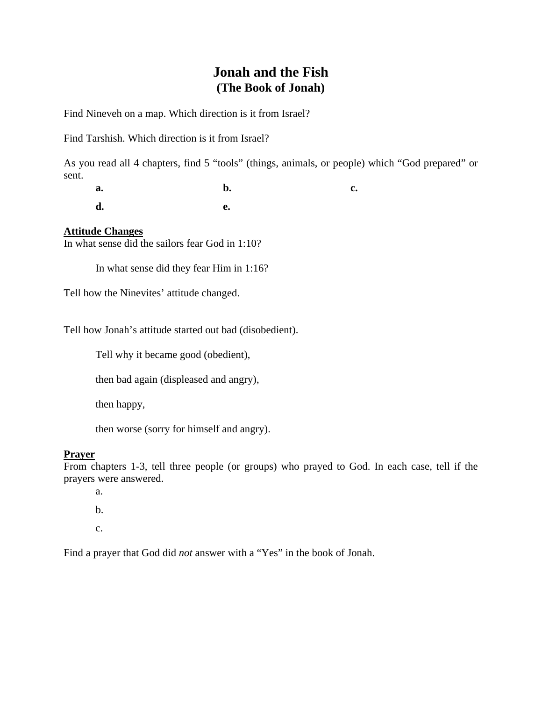### **Jonah and the Fish (The Book of Jonah)**

Find Nineveh on a map. Which direction is it from Israel?

Find Tarshish. Which direction is it from Israel?

As you read all 4 chapters, find 5 "tools" (things, animals, or people) which "God prepared" or sent.

**a. b. c. c. d. e.** 

#### **Attitude Changes**

In what sense did the sailors fear God in 1:10?

In what sense did they fear Him in 1:16?

Tell how the Ninevites' attitude changed.

Tell how Jonah's attitude started out bad (disobedient).

Tell why it became good (obedient),

then bad again (displeased and angry),

then happy,

then worse (sorry for himself and angry).

#### **Prayer**

From chapters 1-3, tell three people (or groups) who prayed to God. In each case, tell if the prayers were answered.

a.

 $h<sub>1</sub>$ 

c.

Find a prayer that God did *not* answer with a "Yes" in the book of Jonah.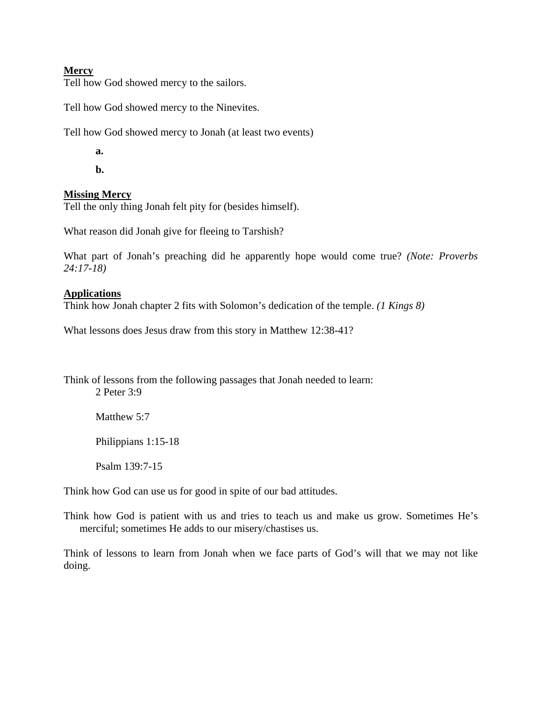#### **Mercy**

Tell how God showed mercy to the sailors.

Tell how God showed mercy to the Ninevites.

Tell how God showed mercy to Jonah (at least two events)

 **a.** 

 **b.** 

#### **Missing Mercy**

Tell the only thing Jonah felt pity for (besides himself).

What reason did Jonah give for fleeing to Tarshish?

What part of Jonah's preaching did he apparently hope would come true? *(Note: Proverbs 24:17-18)* 

#### **Applications**

Think how Jonah chapter 2 fits with Solomon's dedication of the temple. *(1 Kings 8)* 

What lessons does Jesus draw from this story in Matthew 12:38-41?

Think of lessons from the following passages that Jonah needed to learn: 2 Peter 3:9

Matthew 5:7

Philippians 1:15-18

Psalm 139:7-15

Think how God can use us for good in spite of our bad attitudes.

Think how God is patient with us and tries to teach us and make us grow. Sometimes He's merciful; sometimes He adds to our misery/chastises us.

Think of lessons to learn from Jonah when we face parts of God's will that we may not like doing.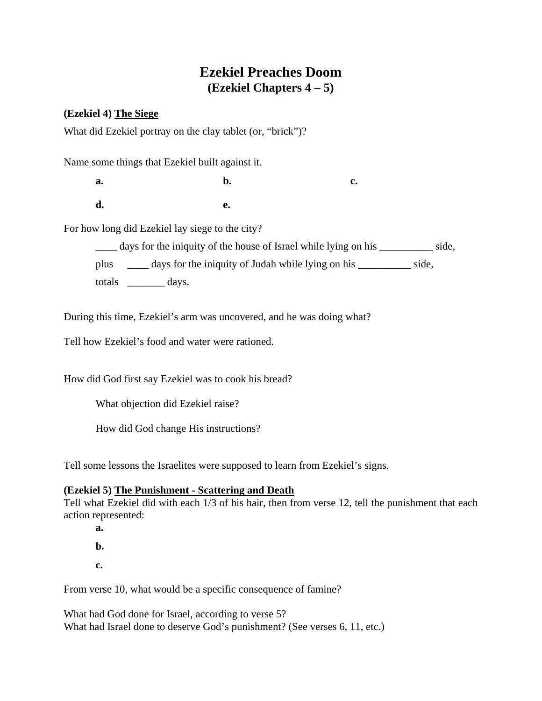# **Ezekiel Preaches Doom (Ezekiel Chapters 4 – 5)**

#### **(Ezekiel 4) The Siege**

What did Ezekiel portray on the clay tablet (or, "brick")?

Name some things that Ezekiel built against it.

**a. b. c. c. d. e.** 

For how long did Ezekiel lay siege to the city?

\_\_\_\_ days for the iniquity of the house of Israel while lying on his \_\_\_\_\_\_\_\_\_\_ side,

plus \_\_\_\_ days for the iniquity of Judah while lying on his \_\_\_\_\_\_\_\_\_\_ side,

totals \_\_\_\_\_\_\_ days.

During this time, Ezekiel's arm was uncovered, and he was doing what?

Tell how Ezekiel's food and water were rationed.

How did God first say Ezekiel was to cook his bread?

What objection did Ezekiel raise?

How did God change His instructions?

Tell some lessons the Israelites were supposed to learn from Ezekiel's signs.

#### **(Ezekiel 5) The Punishment - Scattering and Death**

Tell what Ezekiel did with each 1/3 of his hair, then from verse 12, tell the punishment that each action represented:

 **a.** 

 **b.** 

 **c.** 

From verse 10, what would be a specific consequence of famine?

What had God done for Israel, according to verse 5? What had Israel done to deserve God's punishment? (See verses 6, 11, etc.)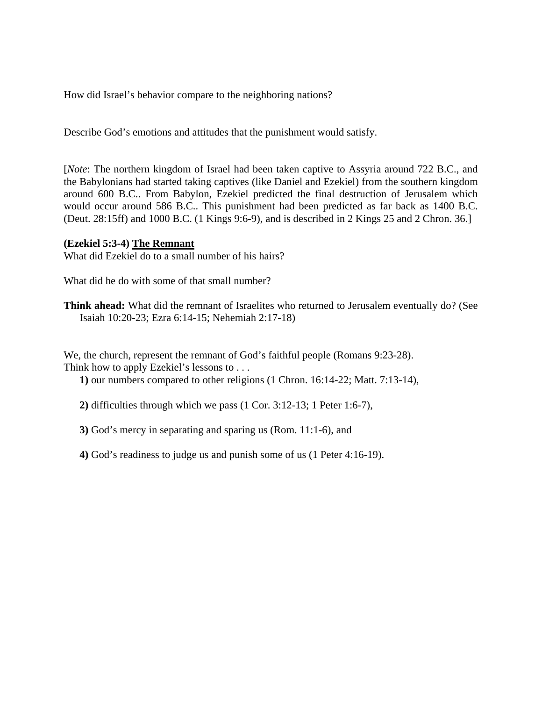How did Israel's behavior compare to the neighboring nations?

Describe God's emotions and attitudes that the punishment would satisfy.

[*Note*: The northern kingdom of Israel had been taken captive to Assyria around 722 B.C., and the Babylonians had started taking captives (like Daniel and Ezekiel) from the southern kingdom around 600 B.C.. From Babylon, Ezekiel predicted the final destruction of Jerusalem which would occur around 586 B.C.. This punishment had been predicted as far back as 1400 B.C. (Deut. 28:15ff) and 1000 B.C. (1 Kings 9:6-9), and is described in 2 Kings 25 and 2 Chron. 36.]

#### **(Ezekiel 5:3-4) The Remnant**

What did Ezekiel do to a small number of his hairs?

What did he do with some of that small number?

**Think ahead:** What did the remnant of Israelites who returned to Jerusalem eventually do? (See Isaiah 10:20-23; Ezra 6:14-15; Nehemiah 2:17-18)

We, the church, represent the remnant of God's faithful people (Romans 9:23-28). Think how to apply Ezekiel's lessons to . . .

**1)** our numbers compared to other religions (1 Chron. 16:14-22; Matt. 7:13-14),

**2)** difficulties through which we pass (1 Cor. 3:12-13; 1 Peter 1:6-7),

**3)** God's mercy in separating and sparing us (Rom. 11:1-6), and

**4)** God's readiness to judge us and punish some of us (1 Peter 4:16-19).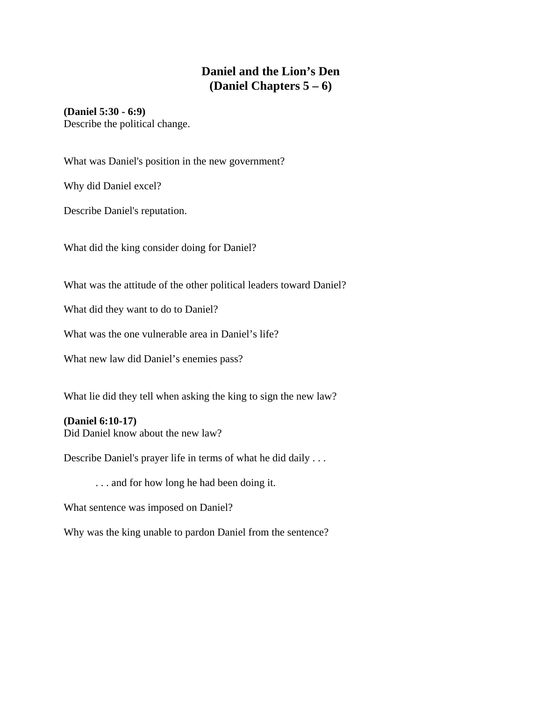### **Daniel and the Lion's Den (Daniel Chapters 5 – 6)**

#### **(Daniel 5:30 - 6:9)**

Describe the political change.

What was Daniel's position in the new government?

Why did Daniel excel?

Describe Daniel's reputation.

What did the king consider doing for Daniel?

What was the attitude of the other political leaders toward Daniel?

What did they want to do to Daniel?

What was the one vulnerable area in Daniel's life?

What new law did Daniel's enemies pass?

What lie did they tell when asking the king to sign the new law?

#### **(Daniel 6:10-17)**

Did Daniel know about the new law?

Describe Daniel's prayer life in terms of what he did daily . . .

. . . and for how long he had been doing it.

What sentence was imposed on Daniel?

Why was the king unable to pardon Daniel from the sentence?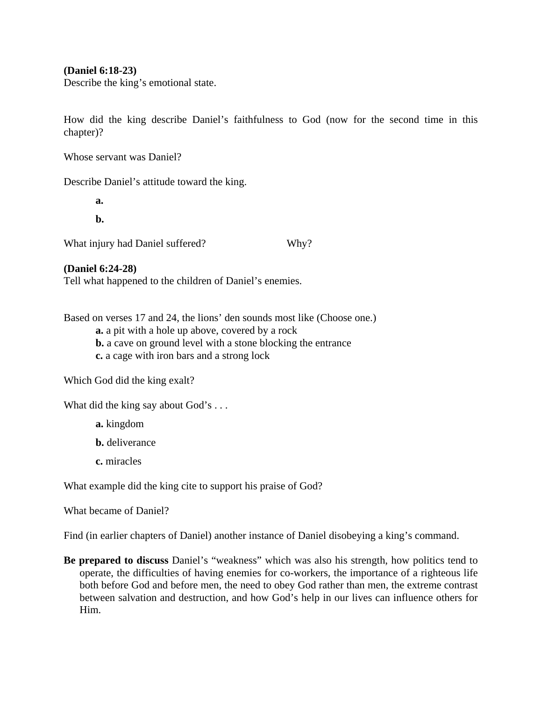#### **(Daniel 6:18-23)**

Describe the king's emotional state.

How did the king describe Daniel's faithfulness to God (now for the second time in this chapter)?

Whose servant was Daniel?

Describe Daniel's attitude toward the king.

 **a.** 

 **b.** 

What injury had Daniel suffered? Why?

#### **(Daniel 6:24-28)**

Tell what happened to the children of Daniel's enemies.

Based on verses 17 and 24, the lions' den sounds most like (Choose one.)

- **a.** a pit with a hole up above, covered by a rock
- **b.** a cave on ground level with a stone blocking the entrance
- **c.** a cage with iron bars and a strong lock

Which God did the king exalt?

What did the king say about God's . . .

**a.** kingdom

- **b.** deliverance
- **c.** miracles

What example did the king cite to support his praise of God?

What became of Daniel?

Find (in earlier chapters of Daniel) another instance of Daniel disobeying a king's command.

**Be prepared to discuss** Daniel's "weakness" which was also his strength, how politics tend to operate, the difficulties of having enemies for co-workers, the importance of a righteous life both before God and before men, the need to obey God rather than men, the extreme contrast between salvation and destruction, and how God's help in our lives can influence others for Him.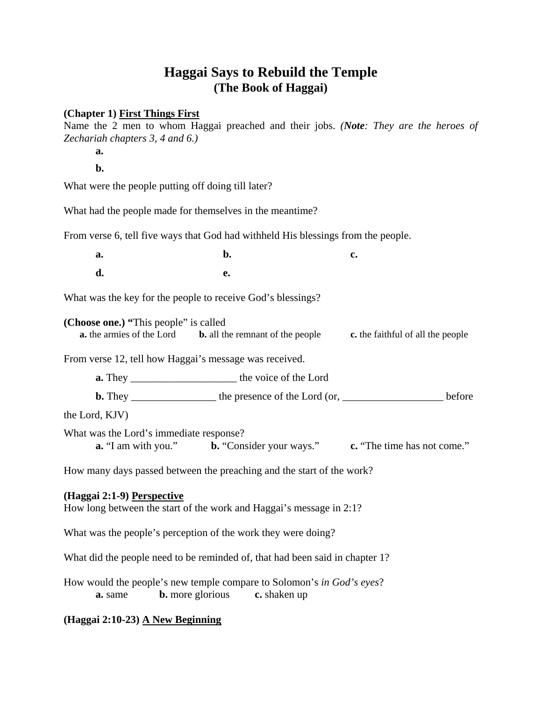# **Haggai Says to Rebuild the Temple (The Book of Haggai)**

#### **(Chapter 1) First Things First**

Name the 2 men to whom Haggai preached and their jobs. *(Note: They are the heroes of Zechariah chapters 3, 4 and 6.)* 

**a.** 

 **b.**

What were the people putting off doing till later?

What had the people made for themselves in the meantime?

From verse 6, tell five ways that God had withheld His blessings from the people.

| <b>a.</b>      | <b>b.</b> | $c_{\bullet}$ |
|----------------|-----------|---------------|
| $\mathbf{d}$ . | e.        |               |

What was the key for the people to receive God's blessings?

**(Choose one.) "**This people" is called **a.** the armies of the Lord **b.** all the remnant of the people **c.** the faithful of all the people

From verse 12, tell how Haggai's message was received.

**a.** They \_\_\_\_\_\_\_\_\_\_\_\_\_\_\_\_\_\_\_\_ the voice of the Lord

**b.** They \_\_\_\_\_\_\_\_\_\_\_\_\_\_\_\_ the presence of the Lord (or, \_\_\_\_\_\_\_\_\_\_\_\_\_\_\_\_\_\_\_ before

the Lord, KJV)

What was the Lord's immediate response? **a.** "I am with you." **b.** "Consider your ways." **c.** "The time has not come."

How many days passed between the preaching and the start of the work?

#### **(Haggai 2:1-9) Perspective**

How long between the start of the work and Haggai's message in 2:1?

What was the people's perception of the work they were doing?

What did the people need to be reminded of, that had been said in chapter 1?

How would the people's new temple compare to Solomon's *in God's eyes*? **a.** same **b.** more glorious **c.** shaken up

#### **(Haggai 2:10-23) A New Beginning**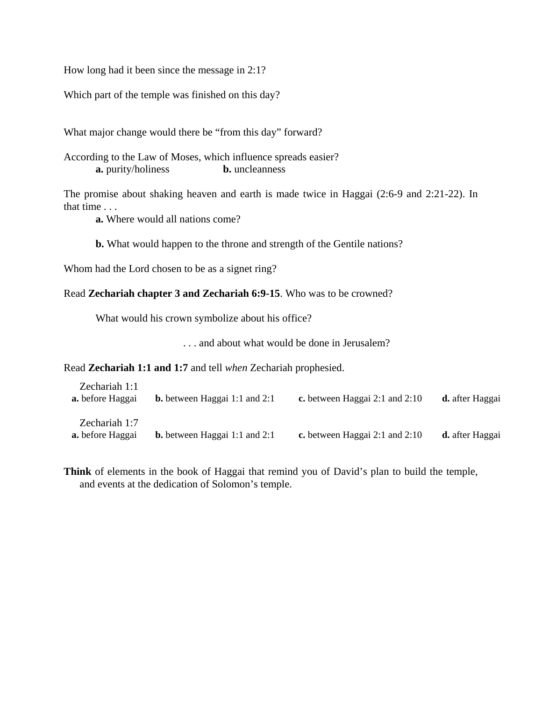How long had it been since the message in 2:1?

Which part of the temple was finished on this day?

What major change would there be "from this day" forward?

According to the Law of Moses, which influence spreads easier? **a.** purity/holiness **b.** uncleanness

The promise about shaking heaven and earth is made twice in Haggai (2:6-9 and 2:21-22). In that time . . .

 **a.** Where would all nations come?

**b.** What would happen to the throne and strength of the Gentile nations?

Whom had the Lord chosen to be as a signet ring?

#### Read **Zechariah chapter 3 and Zechariah 6:9-15**. Who was to be crowned?

What would his crown symbolize about his office?

. . . and about what would be done in Jerusalem?

Read **Zechariah 1:1 and 1:7** and tell *when* Zechariah prophesied.

| Zechariah 1:1<br><b>a.</b> before Haggai | <b>b.</b> between Haggai 1:1 and 2:1 | c. between Haggai 2:1 and $2:10$ | <b>d.</b> after Haggai |
|------------------------------------------|--------------------------------------|----------------------------------|------------------------|
| Zechariah 1:7<br><b>a.</b> before Haggai | <b>b.</b> between Haggai 1:1 and 2:1 | c. between Haggai 2:1 and $2:10$ | d. after Haggai        |

**Think** of elements in the book of Haggai that remind you of David's plan to build the temple, and events at the dedication of Solomon's temple.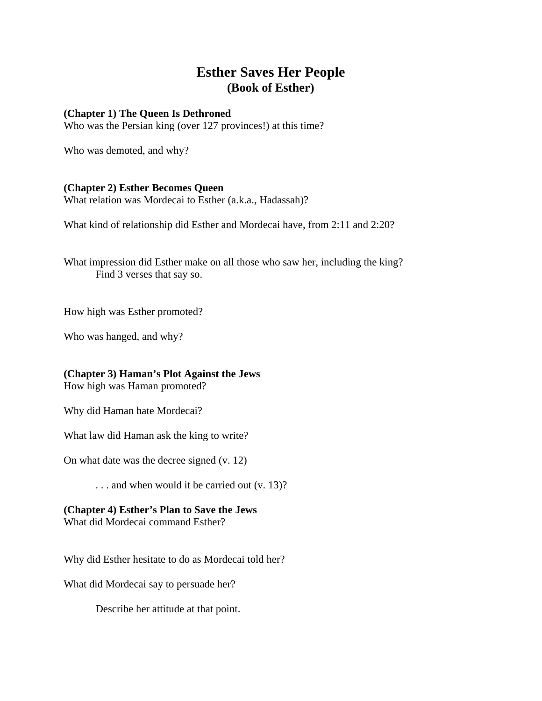## **Esther Saves Her People (Book of Esther)**

#### **(Chapter 1) The Queen Is Dethroned**

Who was the Persian king (over 127 provinces!) at this time?

Who was demoted, and why?

#### **(Chapter 2) Esther Becomes Queen**

What relation was Mordecai to Esther (a.k.a., Hadassah)?

What kind of relationship did Esther and Mordecai have, from 2:11 and 2:20?

What impression did Esther make on all those who saw her, including the king? Find 3 verses that say so.

How high was Esther promoted?

Who was hanged, and why?

#### **(Chapter 3) Haman's Plot Against the Jews**

How high was Haman promoted?

Why did Haman hate Mordecai?

What law did Haman ask the king to write?

On what date was the decree signed (v. 12)

. . . and when would it be carried out (v. 13)?

### **(Chapter 4) Esther's Plan to Save the Jews**

What did Mordecai command Esther?

Why did Esther hesitate to do as Mordecai told her?

What did Mordecai say to persuade her?

Describe her attitude at that point.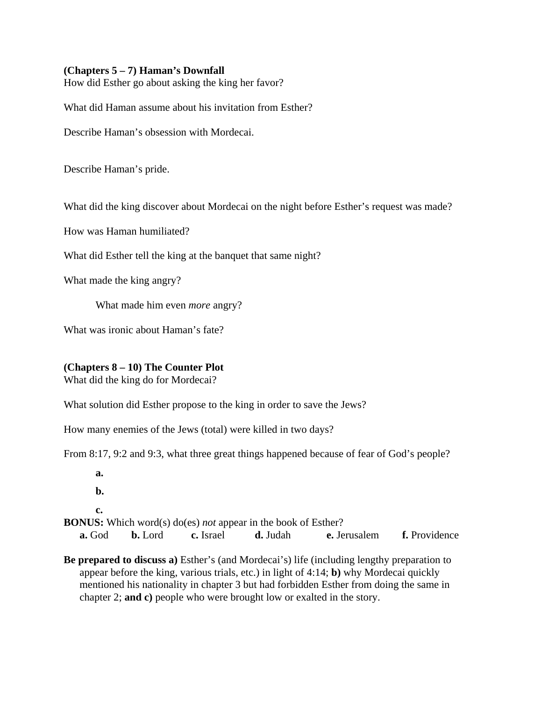#### **(Chapters 5 – 7) Haman's Downfall**

How did Esther go about asking the king her favor?

What did Haman assume about his invitation from Esther?

Describe Haman's obsession with Mordecai.

Describe Haman's pride.

What did the king discover about Mordecai on the night before Esther's request was made?

How was Haman humiliated?

What did Esther tell the king at the banquet that same night?

What made the king angry?

What made him even *more* angry?

What was ironic about Haman's fate?

#### **(Chapters 8 – 10) The Counter Plot**

What did the king do for Mordecai?

What solution did Esther propose to the king in order to save the Jews?

How many enemies of the Jews (total) were killed in two days?

From 8:17, 9:2 and 9:3, what three great things happened because of fear of God's people?

**a.** 

 **b.** 

#### **c.**

**BONUS:** Which word(s) do(es) *not* appear in the book of Esther?

**a.** God **b.** Lord **c.** Israel **d.** Judah **e.** Jerusalem **f.** Providence

**Be prepared to discuss a)** Esther's (and Mordecai's) life (including lengthy preparation to appear before the king, various trials, etc.) in light of 4:14; **b)** why Mordecai quickly mentioned his nationality in chapter 3 but had forbidden Esther from doing the same in chapter 2; **and c)** people who were brought low or exalted in the story.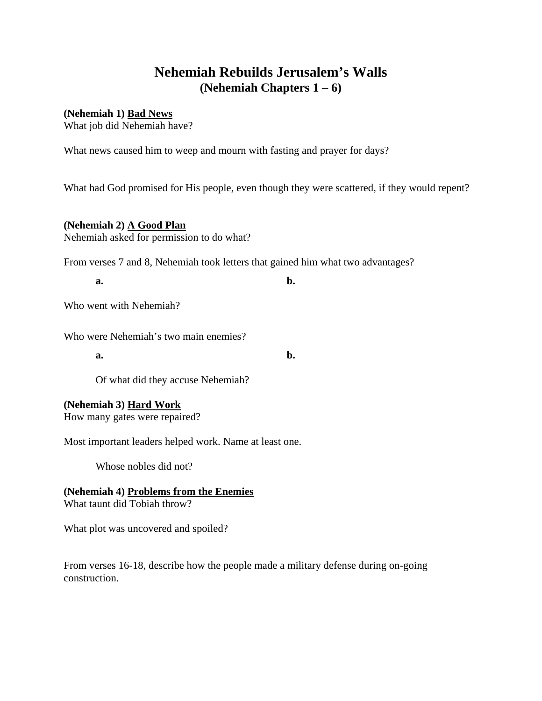# **Nehemiah Rebuilds Jerusalem's Walls (Nehemiah Chapters 1 – 6)**

**(Nehemiah 1) Bad News**

What job did Nehemiah have?

What news caused him to weep and mourn with fasting and prayer for days?

What had God promised for His people, even though they were scattered, if they would repent?

**(Nehemiah 2) A Good Plan** Nehemiah asked for permission to do what?

From verses 7 and 8, Nehemiah took letters that gained him what two advantages?

**a. b. b.** 

Who went with Nehemiah?

Who were Nehemiah's two main enemies?

**a. b. b.** 

Of what did they accuse Nehemiah?

#### **(Nehemiah 3) Hard Work**

How many gates were repaired?

Most important leaders helped work. Name at least one.

Whose nobles did not?

**(Nehemiah 4) Problems from the Enemies** What taunt did Tobiah throw?

What plot was uncovered and spoiled?

From verses 16-18, describe how the people made a military defense during on-going construction.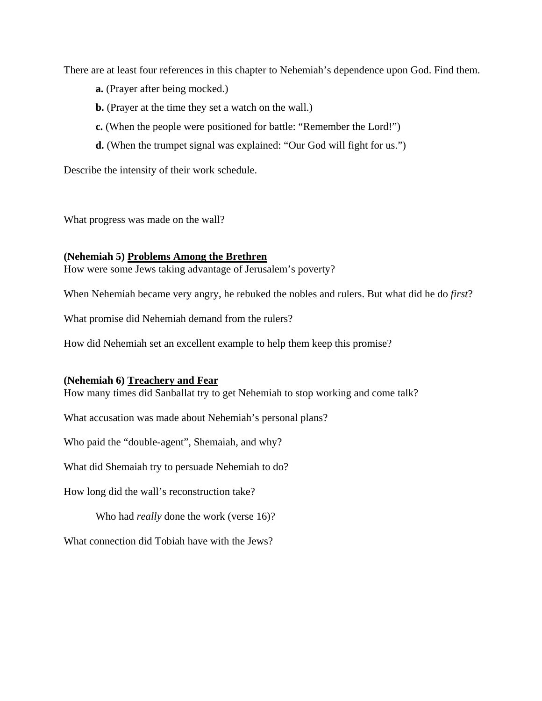There are at least four references in this chapter to Nehemiah's dependence upon God. Find them.

- **a.** (Prayer after being mocked.)
- **b.** (Prayer at the time they set a watch on the wall.)
- **c.** (When the people were positioned for battle: "Remember the Lord!")
- **d.** (When the trumpet signal was explained: "Our God will fight for us.")

Describe the intensity of their work schedule.

What progress was made on the wall?

#### **(Nehemiah 5) Problems Among the Brethren**

How were some Jews taking advantage of Jerusalem's poverty?

When Nehemiah became very angry, he rebuked the nobles and rulers. But what did he do *first*?

What promise did Nehemiah demand from the rulers?

How did Nehemiah set an excellent example to help them keep this promise?

#### **(Nehemiah 6) Treachery and Fear**

How many times did Sanballat try to get Nehemiah to stop working and come talk?

What accusation was made about Nehemiah's personal plans?

Who paid the "double-agent", Shemaiah, and why?

What did Shemaiah try to persuade Nehemiah to do?

How long did the wall's reconstruction take?

Who had *really* done the work (verse 16)?

What connection did Tobiah have with the Jews?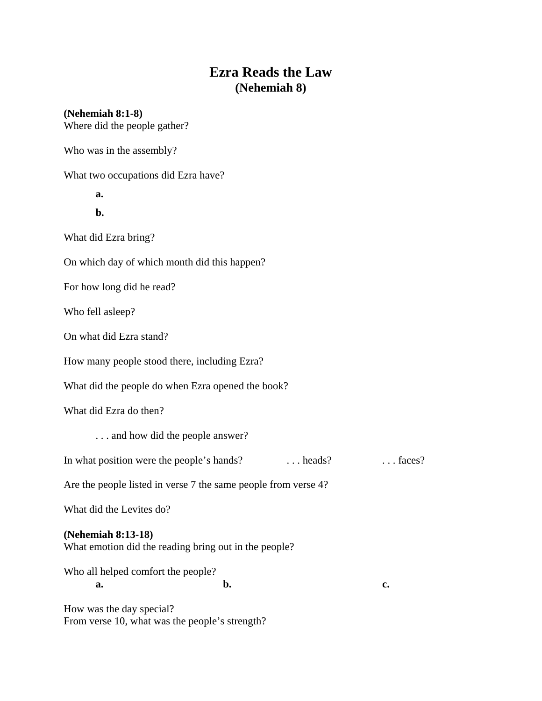# **Ezra Reads the Law (Nehemiah 8)**

| $(Nehemiah 8:1-8)$<br>Where did the people gather?                          |                                    |
|-----------------------------------------------------------------------------|------------------------------------|
| Who was in the assembly?                                                    |                                    |
| What two occupations did Ezra have?                                         |                                    |
| a.                                                                          |                                    |
| b.                                                                          |                                    |
| What did Ezra bring?                                                        |                                    |
| On which day of which month did this happen?                                |                                    |
| For how long did he read?                                                   |                                    |
| Who fell asleep?                                                            |                                    |
| On what did Ezra stand?                                                     |                                    |
| How many people stood there, including Ezra?                                |                                    |
| What did the people do when Ezra opened the book?                           |                                    |
| What did Ezra do then?                                                      |                                    |
| and how did the people answer?                                              |                                    |
| In what position were the people's hands?                                   | $\ldots$ heads?<br>$\ldots$ faces? |
| Are the people listed in verse 7 the same people from verse 4?              |                                    |
| What did the Levites do?                                                    |                                    |
| (Nehemiah 8:13-18)<br>What emotion did the reading bring out in the people? |                                    |
| Who all helped comfort the people?<br>b.<br>a.                              | c.                                 |
| How was the day special?<br>From verse 10, what was the people's strength?  |                                    |